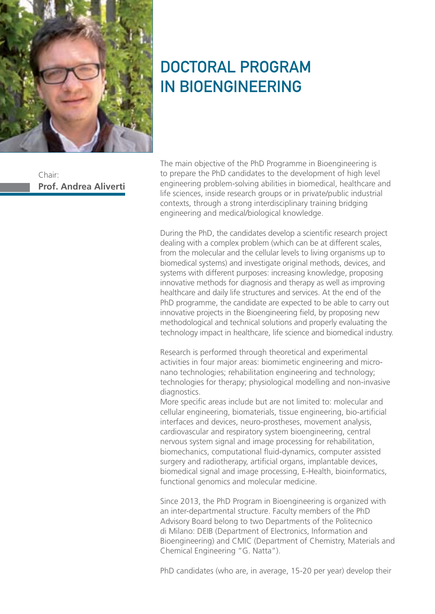

# DOCTORAL PROGRAM IN BIOENGINEERING

Chair: **Prof. Andrea Aliverti** The main objective of the PhD Programme in Bioengineering is to prepare the PhD candidates to the development of high level engineering problem-solving abilities in biomedical, healthcare and life sciences, inside research groups or in private/public industrial contexts, through a strong interdisciplinary training bridging engineering and medical/biological knowledge.

During the PhD, the candidates develop a scientific research project dealing with a complex problem (which can be at different scales, from the molecular and the cellular levels to living organisms up to biomedical systems) and investigate original methods, devices, and systems with different purposes: increasing knowledge, proposing innovative methods for diagnosis and therapy as well as improving healthcare and daily life structures and services. At the end of the PhD programme, the candidate are expected to be able to carry out innovative projects in the Bioengineering field, by proposing new methodological and technical solutions and properly evaluating the technology impact in healthcare, life science and biomedical industry.

Research is performed through theoretical and experimental activities in four major areas: biomimetic engineering and micronano technologies; rehabilitation engineering and technology; technologies for therapy; physiological modelling and non-invasive diagnostics.

More specific areas include but are not limited to: molecular and cellular engineering, biomaterials, tissue engineering, bio-artificial interfaces and devices, neuro-prostheses, movement analysis, cardiovascular and respiratory system bioengineering, central nervous system signal and image processing for rehabilitation, biomechanics, computational fluid-dynamics, computer assisted surgery and radiotherapy, artificial organs, implantable devices, biomedical signal and image processing, E-Health, bioinformatics, functional genomics and molecular medicine.

Since 2013, the PhD Program in Bioengineering is organized with an inter-departmental structure. Faculty members of the PhD Advisory Board belong to two Departments of the Politecnico di Milano: DEIB (Department of Electronics, Information and Bioengineering) and CMIC (Department of Chemistry, Materials and Chemical Engineering "G. Natta").

PhD candidates (who are, in average, 15-20 per year) develop their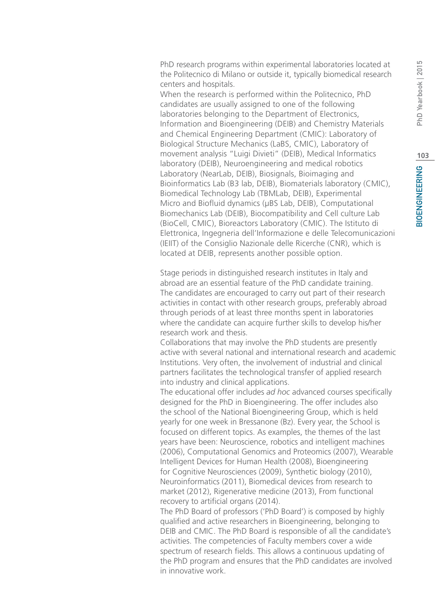PhD research programs within experimental laboratories located at the Politecnico di Milano or outside it, typically biomedical research centers and hospitals.

When the research is performed within the Politecnico, PhD candidates are usually assigned to one of the following laboratories belonging to the Department of Electronics, Information and Bioengineering (DEIB) and Chemistry Materials and Chemical Engineering Department (CMIC): Laboratory of Biological Structure Mechanics (LaBS, CMIC), Laboratory of movement analysis "Luigi Divieti" (DEIB), Medical Informatics laboratory (DEIB), Neuroengineering and medical robotics Laboratory (NearLab, DEIB), Biosignals, Bioimaging and Bioinformatics Lab (B3 lab, DEIB), Biomaterials laboratory (CMIC), Biomedical Technology Lab (TBMLab, DEIB), Experimental Micro and Biofluid dynamics (µBS Lab, DEIB), Computational Biomechanics Lab (DEIB), Biocompatibility and Cell culture Lab (BioCell, CMIC), Bioreactors Laboratory (CMIC). The Istituto di Elettronica, Ingegneria dell'Informazione e delle Telecomunicazioni (IEIIT) of the Consiglio Nazionale delle Ricerche (CNR), which is located at DEIB, represents another possible option.

Stage periods in distinguished research institutes in Italy and abroad are an essential feature of the PhD candidate training. The candidates are encouraged to carry out part of their research activities in contact with other research groups, preferably abroad through periods of at least three months spent in laboratories where the candidate can acquire further skills to develop his/her research work and thesis.

Collaborations that may involve the PhD students are presently active with several national and international research and academic Institutions. Very often, the involvement of industrial and clinical partners facilitates the technological transfer of applied research into industry and clinical applications.

The educational offer includes *ad hoc* advanced courses specifically designed for the PhD in Bioengineering. The offer includes also the school of the National Bioengineering Group, which is held yearly for one week in Bressanone (Bz). Every year, the School is focused on different topics. As examples, the themes of the last years have been: Neuroscience, robotics and intelligent machines (2006), Computational Genomics and Proteomics (2007), Wearable Intelligent Devices for Human Health (2008), Bioengineering for Cognitive Neurosciences (2009), Synthetic biology (2010), Neuroinformatics (2011), Biomedical devices from research to market (2012), Rigenerative medicine (2013), From functional recovery to artificial organs (2014).

The PhD Board of professors ('PhD Board') is composed by highly qualified and active researchers in Bioengineering, belonging to DEIB and CMIC. The PhD Board is responsible of all the candidate's activities. The competencies of Faculty members cover a wide spectrum of research fields. This allows a continuous updating of the PhD program and ensures that the PhD candidates are involved in innovative work.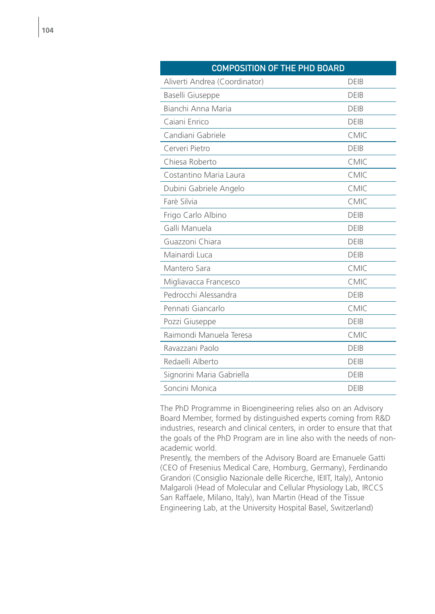| <b>COMPOSITION OF THE PHD BOARD</b> |             |
|-------------------------------------|-------------|
| Aliverti Andrea (Coordinator)       | <b>DEIB</b> |
| Baselli Giuseppe                    | <b>DEIB</b> |
| Bianchi Anna Maria                  | <b>DEIB</b> |
| Cajani Enrico                       | <b>DEIB</b> |
| Candiani Gabriele                   | CMIC        |
| Cerveri Pietro                      | <b>DEIB</b> |
| Chiesa Roberto                      | CMIC        |
| Costantino Maria Laura              | CMIC        |
| Dubini Gabriele Angelo              | CMIC        |
| Farè Silvia                         | CMIC        |
| Frigo Carlo Albino                  | <b>DEIB</b> |
| Galli Manuela                       | <b>DEIB</b> |
| Guazzoni Chiara                     | <b>DEIB</b> |
| Mainardi Luca                       | <b>DEIB</b> |
| Mantero Sara                        | CMIC        |
| Migliavacca Francesco               | CMIC        |
| Pedrocchi Alessandra                | <b>DEIB</b> |
| Pennati Giancarlo                   | CMIC        |
| Pozzi Giuseppe                      | <b>DEIB</b> |
| Raimondi Manuela Teresa             | CMIC        |
| Ravazzani Paolo                     | <b>DEIB</b> |
| Redaelli Alberto                    | <b>DEIB</b> |
| Signorini Maria Gabriella           | <b>DEIB</b> |
| Soncini Monica                      | <b>DEIB</b> |

The PhD Programme in Bioengineering relies also on an Advisory Board Member, formed by distinguished experts coming from R&D industries, research and clinical centers, in order to ensure that that the goals of the PhD Program are in line also with the needs of nonacademic world.

Presently, the members of the Advisory Board are Emanuele Gatti (CEO of Fresenius Medical Care, Homburg, Germany), Ferdinando Grandori (Consiglio Nazionale delle Ricerche, IEIIT, Italy), Antonio Malgaroli (Head of Molecular and Cellular Physiology Lab, IRCCS San Raffaele, Milano, Italy), Ivan Martin (Head of the Tissue Engineering Lab, at the University Hospital Basel, Switzerland)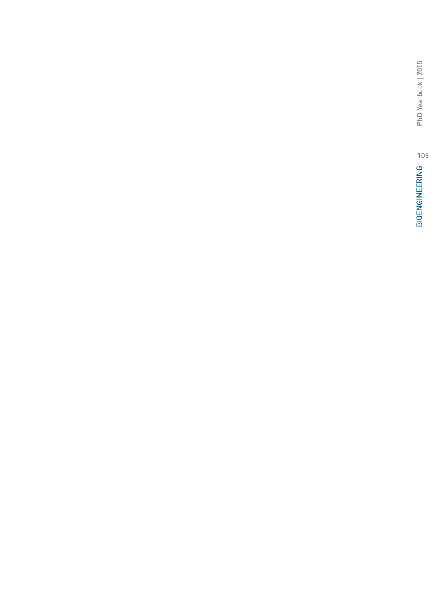PhD Yearbook | 2015 BIOENGINEERING PhD Yearbook | 2015

**BIOENGINEERING**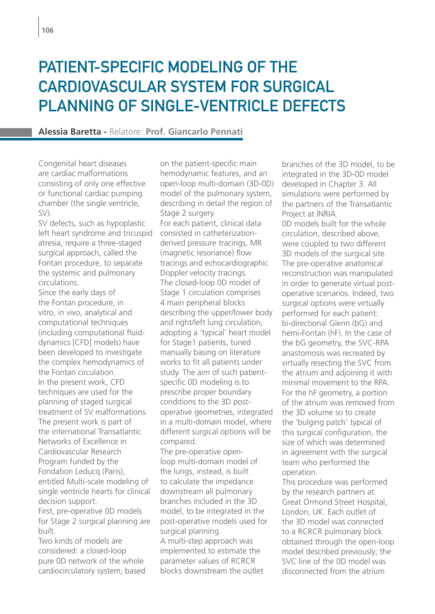# PATIENT-SPECIFIC MODELING OF THE CARDIOVASCULAR SYSTEM FOR SURGICAL PLANNING OF SINGLE-VENTRICLE DEFECTS

## **Alessia Baretta -** Relatore: **Prof. Giancarlo Pennati**

Congenital heart diseases are cardiac malformations consisting of only one effective or functional cardiac pumping chamber (the single ventricle, SV).

SV defects, such as hypoplastic left heart syndrome and tricuspid atresia, require a three-staged surgical approach, called the Fontan procedure, to separate the systemic and pulmonary circulations.

Since the early days of the Fontan procedure, in vitro, in vivo, analytical and computational techniques (including computational fluiddynamics [CFD] models) have been developed to investigate the complex hemodynamics of the Fontan circulation. In the present work, CFD techniques are used for the planning of staged surgical treatment of SV malformations. The present work is part of the international Transatlantic Networks of Excellence in Cardiovascular Research Program funded by the Fondation Leducq (Paris), entitled Multi-scale modeling of single ventricle hearts for clinical decision support.

First, pre-operative 0D models for Stage 2 surgical planning are built.

Two kinds of models are considered: a closed-loop pure 0D network of the whole cardiocirculatory system, based on the patient-specific main hemodynamic features, and an open-loop multi-domain (3D-0D) model of the pulmonary system, describing in detail the region of Stage 2 surgery. For each patient, clinical data consisted in catheterizationderived pressure tracings, MR (magnetic resonance) flow tracings and echocardiographic Doppler velocity tracings. The closed-loop 0D model of Stage 1 circulation comprises 4 main peripheral blocks describing the upper/lower body and right/left lung circulation, adopting a 'typical' heart model for Stage1 patients, tuned manually basing on literature works to fit all patients under study. The aim of such patientspecific 0D modeling is to prescribe proper boundary conditions to the 3D postoperative geometries, integrated in a multi-domain model, where different surgical options will be compared.

The pre-operative openloop multi-domain model of the lungs, instead, is built to calculate the impedance downstream all pulmonary branches included in the 3D model, to be integrated in the post-operative models used for surgical planning.

A multi-step approach was implemented to estimate the parameter values of RCRCR blocks downstream the outlet branches of the 3D model, to be integrated in the 3D-0D model developed in Chapter 3. All simulations were performed by the partners of the Transatlantic Project at INRIA. 0D models built for the whole circulation, described above, were coupled to two different 3D models of the surgical site. The pre-operative anatomical reconstruction was manipulated in order to generate virtual postoperative scenarios. Indeed, two surgical options were virtually performed for each patient: bi-directional Glenn (bG) and hemi-Fontan (hF). In the case of the bG geometry, the SVC-RPA anastomosis was recreated by virtually resecting the SVC from the atrium and adjoining it with minimal movement to the RPA. For the hF geometry, a portion of the atrium was removed from the 3D volume so to create the 'bulging patch' typical of this surgical configuration, the size of which was determined in agreement with the surgical team who performed the operation.

This procedure was performed by the research partners at Great Ormond Street Hospital, London, UK. Each outlet of the 3D model was connected to a RCRCR pulmonary block obtained through the open-loop model described previously; the SVC line of the 0D model was disconnected from the atrium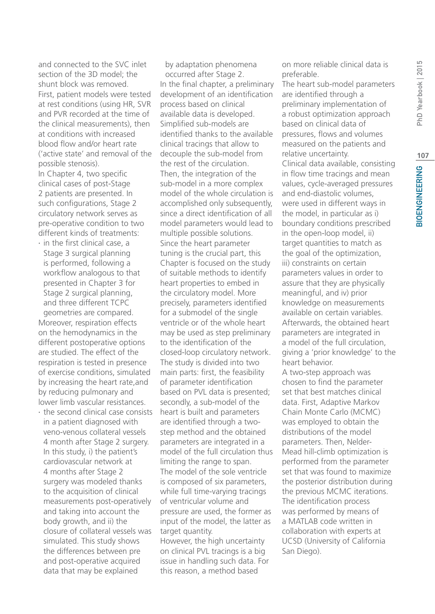**BIOENGINEERING** 

and connected to the SVC inlet section of the 3D model; the shunt block was removed. First, patient models were tested at rest conditions (using HR, SVR and PVR recorded at the time of the clinical measurements), then at conditions with increased blood flow and/or heart rate ('active state' and removal of the possible stenosis). In Chapter 4, two specific

clinical cases of post-Stage 2 patients are presented. In such configurations, Stage 2 circulatory network serves as pre-operative condition to two different kinds of treatments:

∙ in the fi rst clinical case, a Stage 3 surgical planning is performed, following a workflow analogous to that presented in Chapter 3 for Stage 2 surgical planning, and three different TCPC geometries are compared. Moreover, respiration effects on the hemodynamics in the different postoperative options are studied. The effect of the respiration is tested in presence of exercise conditions, simulated by increasing the heart rate,and by reducing pulmonary and lower limb vascular resistances.

∙ the second clinical case consists in a patient diagnosed with veno-venous collateral vessels 4 month after Stage 2 surgery. In this study, i) the patient's cardiovascular network at 4 months after Stage 2 surgery was modeled thanks to the acquisition of clinical measurements post-operatively and taking into account the body growth, and ii) the closure of collateral vessels was simulated. This study shows the differences between pre and post-operative acquired data that may be explained

by adaptation phenomena occurred after Stage 2. In the final chapter, a preliminary development of an identification process based on clinical available data is developed. Simplified sub-models are identified thanks to the available clinical tracings that allow to decouple the sub-model from the rest of the circulation. Then, the integration of the sub-model in a more complex model of the whole circulation is accomplished only subsequently, since a direct identification of all model parameters would lead to multiple possible solutions. Since the heart parameter tuning is the crucial part, this Chapter is focused on the study of suitable methods to identify heart properties to embed in the circulatory model. More precisely, parameters identified for a submodel of the single ventricle or of the whole heart may be used as step preliminary to the identification of the closed-loop circulatory network. The study is divided into two main parts: first, the feasibility of parameter identification based on PVL data is presented; secondly, a sub-model of the heart is built and parameters are identified through a twostep method and the obtained parameters are integrated in a model of the full circulation thus limiting the range to span. The model of the sole ventricle is composed of six parameters, while full time-varying tracings of ventricular volume and pressure are used, the former as input of the model, the latter as target quantity. However, the high uncertainty

on clinical PVL tracings is a big issue in handling such data. For this reason, a method based

on more reliable clinical data is preferable.

The heart sub-model parameters are identified through a preliminary implementation of a robust optimization approach based on clinical data of pressures, flows and volumes measured on the patients and relative uncertainty. Clinical data available, consisting in flow time tracings and mean values, cycle-averaged pressures and end-diastolic volumes, were used in different ways in the model, in particular as i) boundary conditions prescribed in the open-loop model, ii) target quantities to match as the goal of the optimization, iii) constraints on certain parameters values in order to assure that they are physically meaningful, and iv) prior knowledge on measurements available on certain variables. Afterwards, the obtained heart parameters are integrated in a model of the full circulation, giving a 'prior knowledge' to the heart behavior.

A two-step approach was chosen to find the parameter set that best matches clinical data. First, Adaptive Markov Chain Monte Carlo (MCMC) was employed to obtain the distributions of the model parameters. Then, Nelder-Mead hill-climb optimization is performed from the parameter set that was found to maximize the posterior distribution during the previous MCMC iterations. The identification process was performed by means of a MATLAB code written in collaboration with experts at UCSD (University of California San Diego).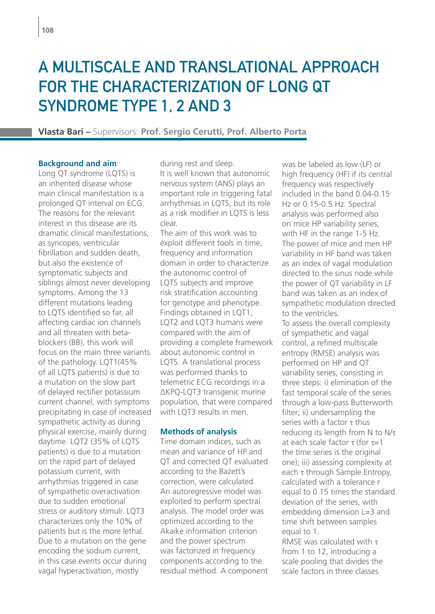## **108**

# A MULTISCALE AND TRANSLATIONAL APPROACH FOR THE CHARACTERIZATION OF LONG QT SYNDROME TYPE 1, 2 AND 3

## **Vlasta Bari –** Supervisors: **Prof. Sergio Cerutti, Prof. Alberto Porta**

### **Background and aim**

Long QT syndrome (LQTS) is an inherited disease whose main clinical manifestation is a prolonged QT interval on ECG. The reasons for the relevant interest in this disease are its dramatic clinical manifestations, as syncopes, ventricular fibrillation and sudden death. but also the existence of symptomatic subjects and siblings almost never developing symptoms. Among the 13 different mutations leading to LQTS identified so far, all affecting cardiac ion channels and all threaten with betablockers (BB), this work will focus on the main three variants of the pathology. LQT1(45% of all LQTS patients) is due to a mutation on the slow part of delayed rectifier potassium current channel, with symptoms precipitating in case of increased sympathetic activity as during physical exercise, mainly during daytime. LQT2 (35% of LQTS patients) is due to a mutation on the rapid part of delayed potassium current, with arrhythmias triggered in case of sympathetic overactivation due to sudden emotional stress or auditory stimuli. LQT3 characterizes only the 10% of patients but is the more lethal. Due to a mutation on the gene encoding the sodium current, in this case events occur during vagal hyperactivation, mostly

during rest and sleep. It is well known that autonomic nervous system (ANS) plays an important role in triggering fatal arrhythmias in LQTS, but its role as a risk modifier in LOTS is less clear.

The aim of this work was to exploit different tools in time, frequency and information domain in order to characterize the autonomic control of LQTS subjects and improve risk stratification accounting for genotype and phenotype. Findings obtained in LQT1, LQT2 and LQT3 humans were compared with the aim of providing a complete framework about autonomic control in LQTS. A translational process was performed thanks to telemetric ECG recordings in a ∆KPQ-LQT3 transgenic murine population, that were compared with LQT3 results in men.

### **Methods of analysis**

Time domain indices, such as mean and variance of HP and QT and corrected QT evaluated according to the Bazett's correction, were calculated. An autoregressive model was exploited to perform spectral analysis. The model order was optimized according to the Akaike information criterion and the power spectrum was factorized in frequency components according to the residual method. A component was be labeled as low (LF) or high frequency (HF) if its central frequency was respectively included in the band 0.04-0.15 Hz or 0.15-0.5 Hz. Spectral analysis was performed also on mice HP variability series, with HF in the range 1-5 Hz. The power of mice and men HP variability in HF band was taken as an index of vagal modulation directed to the sinus node while the power of QT variability in LF band was taken as an index of sympathetic modulation directed to the ventricles.

To assess the overall complexity of sympathetic and vagal control, a refined multiscale entropy (RMSE) analysis was performed on HP and QT variability series, consisting in three steps: i) elimination of the fast temporal scale of the series through a low-pass Butterworth filter; ii) undersampling the series with a factor  $\tau$  thus reducing its length from N to  $N/\tau$ at each scale factor  $\tau$  (for  $\tau=1$ the time series is the original one); iii) assessing complexity at each  $\tau$  through Sample Entropy, calculated with a tolerance r equal to 0.15 times the standard deviation of the series, with embedding dimension L=3 and time shift between samples equal to 1.

RMSE was calculated with  $\tau$ from 1 to 12, introducing a scale pooling that divides the scale factors in three classes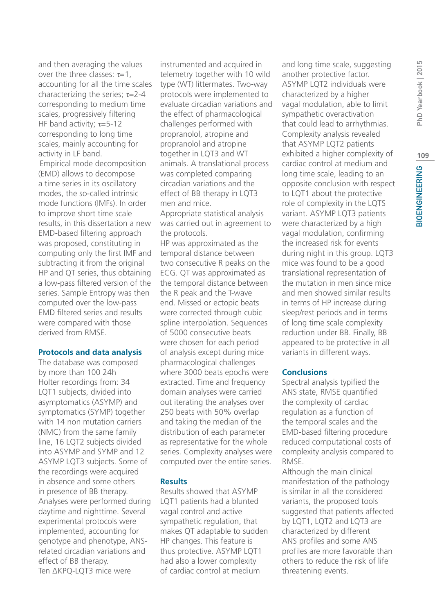**BIOENGINEERING** 

and then averaging the values over the three classes:  $\tau=1$ . accounting for all the time scales characterizing the series;  $\tau$ =2-4 corresponding to medium time scales, progressively filtering HF band activity;  $\tau = 5-12$ corresponding to long time scales, mainly accounting for activity in LF band.

Empirical mode decomposition (EMD) allows to decompose a time series in its oscillatory modes, the so-called intrinsic mode functions (IMFs). In order to improve short time scale results, in this dissertation a new EMD-based filtering approach was proposed, constituting in computing only the first IMF and subtracting it from the original HP and QT series, thus obtaining a low-pass filtered version of the series. Sample Entropy was then computed over the low-pass EMD filtered series and results were compared with those derived from RMSE.

#### **Protocols and data analysis**

The database was composed by more than 100 24h Holter recordings from: 34 LQT1 subjects, divided into asymptomatics (ASYMP) and symptomatics (SYMP) together with 14 non mutation carriers (NMC) from the same family line, 16 LQT2 subjects divided into ASYMP and SYMP and 12 ASYMP LQT3 subjects. Some of the recordings were acquired in absence and some others in presence of BB therapy. Analyses were performed during daytime and nighttime. Several experimental protocols were implemented, accounting for genotype and phenotype, ANSrelated circadian variations and effect of BB therapy. Ten ∆KPQ-LQT3 mice were

instrumented and acquired in telemetry together with 10 wild type (WT) littermates. Two-way protocols were implemented to evaluate circadian variations and the effect of pharmacological challenges performed with propranolol, atropine and propranolol and atropine together in LQT3 and WT animals. A translational process was completed comparing circadian variations and the effect of BB therapy in LQT3 men and mice.

Appropriate statistical analysis was carried out in agreement to the protocols.

HP was approximated as the temporal distance between two consecutive R peaks on the ECG. QT was approximated as the temporal distance between the R peak and the T-wave end. Missed or ectopic beats were corrected through cubic spline interpolation. Sequences of 5000 consecutive beats were chosen for each period of analysis except during mice pharmacological challenges where 3000 beats epochs were extracted. Time and frequency domain analyses were carried out iterating the analyses over 250 beats with 50% overlap and taking the median of the distribution of each parameter as representative for the whole series. Complexity analyses were computed over the entire series.

### **Results**

Results showed that ASYMP LQT1 patients had a blunted vagal control and active sympathetic regulation, that makes QT adaptable to sudden HP changes. This feature is thus protective. ASYMP LQT1 had also a lower complexity of cardiac control at medium

and long time scale, suggesting another protective factor. ASYMP LQT2 individuals were characterized by a higher vagal modulation, able to limit sympathetic overactivation that could lead to arrhythmias. Complexity analysis revealed that ASYMP LQT2 patients exhibited a higher complexity of cardiac control at medium and long time scale, leading to an opposite conclusion with respect to LQT1 about the protective role of complexity in the LQTS variant. ASYMP LQT3 patients were characterized by a high vagal modulation, confirming the increased risk for events during night in this group. LQT3 mice was found to be a good translational representation of the mutation in men since mice and men showed similar results in terms of HP increase during sleep/rest periods and in terms of long time scale complexity reduction under BB. Finally, BB appeared to be protective in all variants in different ways.

### **Conclusions**

Spectral analysis typified the ANS state, RMSE quantified the complexity of cardiac regulation as a function of the temporal scales and the EMD-based filtering procedure reduced computational costs of complexity analysis compared to RMSE.

Although the main clinical manifestation of the pathology is similar in all the considered variants, the proposed tools suggested that patients affected by LQT1, LQT2 and LQT3 are characterized by different ANS profiles and some ANS profiles are more favorable than others to reduce the risk of life threatening events.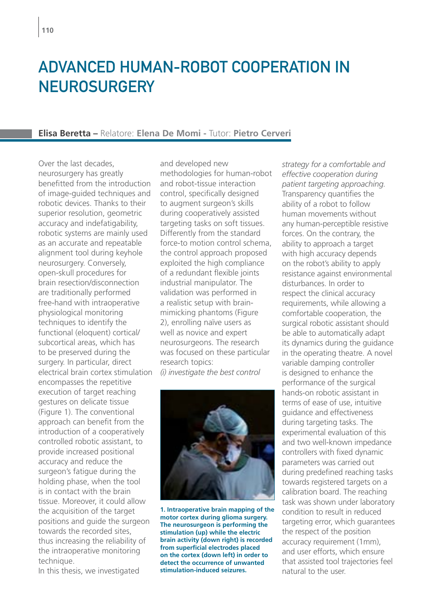# ADVANCED HUMAN-ROBOT COOPERATION IN **NEUROSURGERY**

### **Elisa Beretta –** Relatore: **Elena De Momi -** Tutor: **Pietro Cerveri**

Over the last decades, neurosurgery has greatly benefitted from the introduction of image-guided techniques and robotic devices. Thanks to their superior resolution, geometric accuracy and indefatigability, robotic systems are mainly used as an accurate and repeatable alignment tool during keyhole neurosurgery. Conversely, open-skull procedures for brain resection/disconnection are traditionally performed free-hand with intraoperative physiological monitoring techniques to identify the functional (eloquent) cortical/ subcortical areas, which has to be preserved during the surgery. In particular, direct electrical brain cortex stimulation encompasses the repetitive execution of target reaching gestures on delicate tissue (Figure 1). The conventional approach can benefit from the introduction of a cooperatively controlled robotic assistant, to provide increased positional accuracy and reduce the surgeon's fatigue during the holding phase, when the tool is in contact with the brain tissue. Moreover, it could allow the acquisition of the target positions and guide the surgeon towards the recorded sites, thus increasing the reliability of the intraoperative monitoring technique.

In this thesis, we investigated

and developed new methodologies for human-robot and robot-tissue interaction control, specifically designed to augment surgeon's skills during cooperatively assisted targeting tasks on soft tissues. Differently from the standard force-to motion control schema, the control approach proposed exploited the high compliance of a redundant flexible joints industrial manipulator. The validation was performed in a realistic setup with brainmimicking phantoms (Figure 2), enrolling naïve users as well as novice and expert neurosurgeons. The research was focused on these particular research topics: *(i) investigate the best control* 



**1. Intraoperative brain mapping of the motor cortex during glioma surgery. The neurosurgeon is performing the stimulation (up) while the electric brain activity (down right) is recorded**  from superficial electrodes placed **on the cortex (down left) in order to detect the occurrence of unwanted stimulation-induced seizures.**

*strategy for a comfortable and effective cooperation during patient targeting approaching.* Transparency quantifies the ability of a robot to follow human movements without any human-perceptible resistive forces. On the contrary, the ability to approach a target with high accuracy depends on the robot's ability to apply resistance against environmental disturbances. In order to respect the clinical accuracy requirements, while allowing a comfortable cooperation, the surgical robotic assistant should be able to automatically adapt its dynamics during the guidance in the operating theatre. A novel variable damping controller is designed to enhance the performance of the surgical hands-on robotic assistant in terms of ease of use, intuitive guidance and effectiveness during targeting tasks. The experimental evaluation of this and two well-known impedance controllers with fixed dynamic parameters was carried out during predefined reaching tasks towards registered targets on a calibration board. The reaching task was shown under laboratory condition to result in reduced targeting error, which guarantees the respect of the position accuracy requirement (1mm), and user efforts, which ensure that assisted tool trajectories feel natural to the user.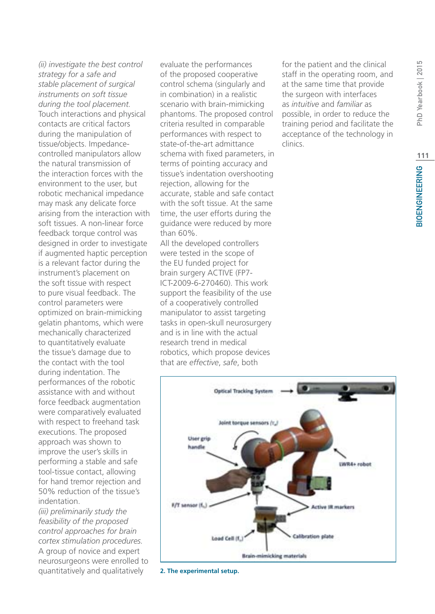*(ii) investigate the best control strategy for a safe and stable placement of surgical instruments on soft tissue during the tool placement.*  Touch interactions and physical contacts are critical factors during the manipulation of tissue/objects. Impedancecontrolled manipulators allow the natural transmission of the interaction forces with the environment to the user, but robotic mechanical impedance may mask any delicate force arising from the interaction with soft tissues. A non-linear force feedback torque control was designed in order to investigate if augmented haptic perception is a relevant factor during the instrument's placement on the soft tissue with respect to pure visual feedback. The control parameters were optimized on brain-mimicking gelatin phantoms, which were mechanically characterized to quantitatively evaluate the tissue's damage due to the contact with the tool during indentation. The performances of the robotic assistance with and without force feedback augmentation were comparatively evaluated with respect to freehand task executions. The proposed approach was shown to improve the user's skills in performing a stable and safe tool-tissue contact, allowing for hand tremor rejection and 50% reduction of the tissue's indentation.

*(iii) preliminarily study the feasibility of the proposed control approaches for brain cortex stimulation procedures.* A group of novice and expert neurosurgeons were enrolled to quantitatively and qualitatively **2. The experimental setup.**

evaluate the performances of the proposed cooperative control schema (singularly and in combination) in a realistic scenario with brain-mimicking phantoms. The proposed control criteria resulted in comparable performances with respect to state-of-the-art admittance schema with fixed parameters, in terms of pointing accuracy and tissue's indentation overshooting rejection, allowing for the accurate, stable and safe contact with the soft tissue. At the same time, the user efforts during the guidance were reduced by more than 60%.

All the developed controllers were tested in the scope of the EU funded project for brain surgery ACTIVE (FP7- ICT-2009-6-270460). This work support the feasibility of the use of a cooperatively controlled manipulator to assist targeting tasks in open-skull neurosurgery and is in line with the actual research trend in medical robotics, which propose devices that are *effective*, *safe*, both

for the patient and the clinical staff in the operating room, and at the same time that provide the surgeon with interfaces as *intuitive* and *familiar* as possible, in order to reduce the training period and facilitate the acceptance of the technology in clinics.

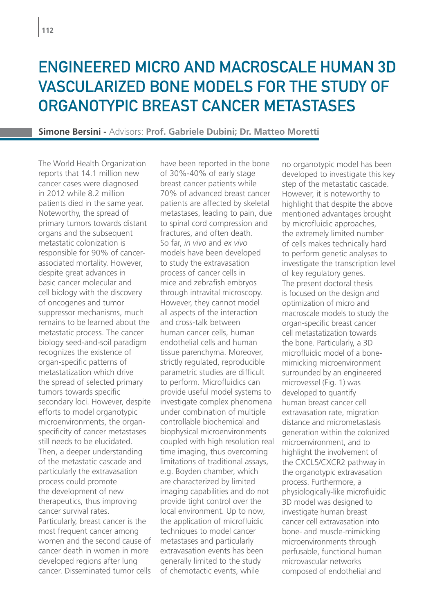# ENGINEERED MICRO AND MACROSCALE HUMAN 3D VASCULARIZED BONE MODELS FOR THE STUDY OF ORGANOTYPIC BREAST CANCER METASTASES

**Simone Bersini -** Advisors: **Prof. Gabriele Dubini; Dr. Matteo Moretti**

The World Health Organization reports that 14.1 million new cancer cases were diagnosed in 2012 while 8.2 million patients died in the same year. Noteworthy, the spread of primary tumors towards distant organs and the subsequent metastatic colonization is responsible for 90% of cancerassociated mortality. However, despite great advances in basic cancer molecular and cell biology with the discovery of oncogenes and tumor suppressor mechanisms, much remains to be learned about the metastatic process. The cancer biology seed-and-soil paradigm recognizes the existence of organ-specific patterns of metastatization which drive the spread of selected primary tumors towards specific secondary loci. However, despite efforts to model organotypic microenvironments, the organspecificity of cancer metastases still needs to be elucidated. Then, a deeper understanding of the metastatic cascade and particularly the extravasation process could promote the development of new therapeutics, thus improving cancer survival rates. Particularly, breast cancer is the most frequent cancer among women and the second cause of cancer death in women in more developed regions after lung cancer. Disseminated tumor cells have been reported in the bone of 30%-40% of early stage breast cancer patients while 70% of advanced breast cancer patients are affected by skeletal metastases, leading to pain, due to spinal cord compression and fractures, and often death. So far, *in vivo* and *ex vivo* models have been developed to study the extravasation process of cancer cells in mice and zebrafish embryos through intravital microscopy. However, they cannot model all aspects of the interaction and cross-talk between human cancer cells, human endothelial cells and human tissue parenchyma. Moreover, strictly regulated, reproducible parametric studies are difficult to perform. Microfluidics can provide useful model systems to investigate complex phenomena under combination of multiple controllable biochemical and biophysical microenvironments coupled with high resolution real time imaging, thus overcoming limitations of traditional assays, e.g. Boyden chamber, which are characterized by limited imaging capabilities and do not provide tight control over the local environment. Up to now, the application of microfluidic techniques to model cancer metastases and particularly extravasation events has been generally limited to the study of chemotactic events, while

no organotypic model has been developed to investigate this key step of the metastatic cascade. However, it is noteworthy to highlight that despite the above mentioned advantages brought by microfluidic approaches, the extremely limited number of cells makes technically hard to perform genetic analyses to investigate the transcription level of key regulatory genes. The present doctoral thesis is focused on the design and optimization of micro and macroscale models to study the organ-specific breast cancer cell metastatization towards the bone. Particularly, a 3D microfluidic model of a bonemimicking microenvironment surrounded by an engineered microvessel (Fig. 1) was developed to quantify human breast cancer cell extravasation rate, migration distance and micrometastasis generation within the colonized microenvironment, and to highlight the involvement of the CXCL5/CXCR2 pathway in the organotypic extravasation process. Furthermore, a physiologically-like microfluidic 3D model was designed to investigate human breast cancer cell extravasation into bone- and muscle-mimicking microenvironments through perfusable, functional human microvascular networks composed of endothelial and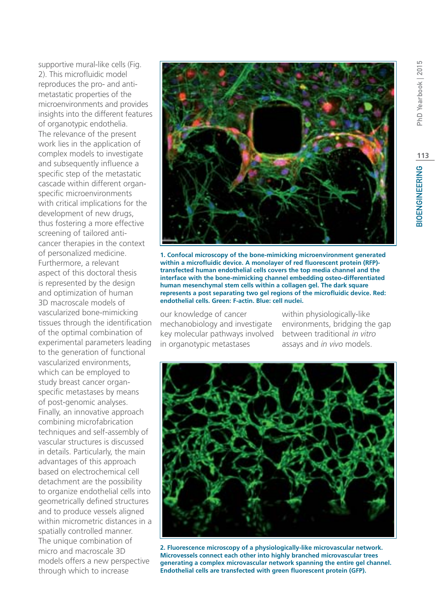our knowledge of cancer mechanobiology and investigate key molecular pathways involved in organotypic metastases **1. Confocal microscopy of the bone-mimicking microenvironment generated**  within a microfluidic device. A monolayer of red fluorescent protein (RFP)**transfected human endothelial cells covers the top media channel and the interface with the bone-mimicking channel embedding osteo-differentiated human mesenchymal stem cells within a collagen gel. The dark square**  represents a post separating two gel regions of the microfluidic device. Red: **endothelial cells. Green: F-actin. Blue: cell nuclei.**

within physiologically-like environments, bridging the gap between traditional *in vitro* assays and *in vivo* models.



**2. Fluorescence microscopy of a physiologically-like microvascular network. Microvessels connect each other into highly branched microvascular trees generating a complex microvascular network spanning the entire gel channel. Endothelial cells are transfected with green fluorescent protein (GFP).** 



micro and macroscale 3D models offers a new perspective through which to increase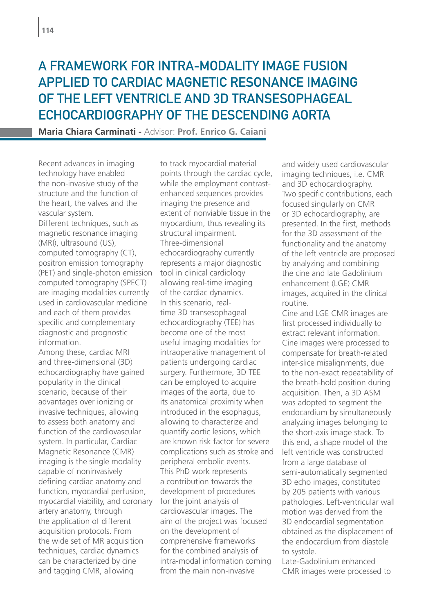## A FRAMEWORK FOR INTRA-MODALITY IMAGE FUSION APPLIED TO CARDIAC MAGNETIC RESONANCE IMAGING OF THE LEFT VENTRICLE AND 3D TRANSESOPHAGEAL ECHOCARDIOGRAPHY OF THE DESCENDING AORTA

**Maria Chiara Carminati -** Advisor: **Prof. Enrico G. Caiani**

Recent advances in imaging technology have enabled the non-invasive study of the structure and the function of the heart, the valves and the vascular system.

Different techniques, such as magnetic resonance imaging (MRI), ultrasound (US), computed tomography (CT), positron emission tomography (PET) and single-photon emission computed tomography (SPECT) are imaging modalities currently used in cardiovascular medicine and each of them provides specific and complementary diagnostic and prognostic information.

Among these, cardiac MRI and three-dimensional (3D) echocardiography have gained popularity in the clinical scenario, because of their advantages over ionizing or invasive techniques, allowing to assess both anatomy and function of the cardiovascular system. In particular, Cardiac Magnetic Resonance (CMR) imaging is the single modality capable of noninvasively defining cardiac anatomy and function, myocardial perfusion, myocardial viability, and coronary artery anatomy, through the application of different acquisition protocols. From the wide set of MR acquisition techniques, cardiac dynamics can be characterized by cine and tagging CMR, allowing

to track myocardial material points through the cardiac cycle, while the employment contrastenhanced sequences provides imaging the presence and extent of nonviable tissue in the myocardium, thus revealing its structural impairment. Three-dimensional echocardiography currently represents a major diagnostic tool in clinical cardiology allowing real-time imaging of the cardiac dynamics. In this scenario, realtime 3D transesophageal echocardiography (TEE) has become one of the most useful imaging modalities for intraoperative management of patients undergoing cardiac surgery. Furthermore, 3D TEE can be employed to acquire images of the aorta, due to its anatomical proximity when introduced in the esophagus, allowing to characterize and quantify aortic lesions, which are known risk factor for severe complications such as stroke and peripheral embolic events. This PhD work represents a contribution towards the development of procedures for the joint analysis of cardiovascular images. The aim of the project was focused on the development of comprehensive frameworks for the combined analysis of intra-modal information coming from the main non-invasive

and widely used cardiovascular imaging techniques, i.e. CMR and 3D echocardiography. Two specific contributions, each focused singularly on CMR or 3D echocardiography, are presented. In the first, methods for the 3D assessment of the functionality and the anatomy of the left ventricle are proposed by analyzing and combining the cine and late Gadolinium enhancement (LGE) CMR images, acquired in the clinical routine.

Cine and LGE CMR images are first processed individually to extract relevant information. Cine images were processed to compensate for breath-related inter-slice misalignments, due to the non-exact repeatability of the breath-hold position during acquisition. Then, a 3D ASM was adopted to segment the endocardium by simultaneously analyzing images belonging to the short-axis image stack. To this end, a shape model of the left ventricle was constructed from a large database of semi-automatically segmented 3D echo images, constituted by 205 patients with various pathologies. Left-ventricular wall motion was derived from the 3D endocardial segmentation obtained as the displacement of the endocardium from diastole to systole.

Late-Gadolinium enhanced CMR images were processed to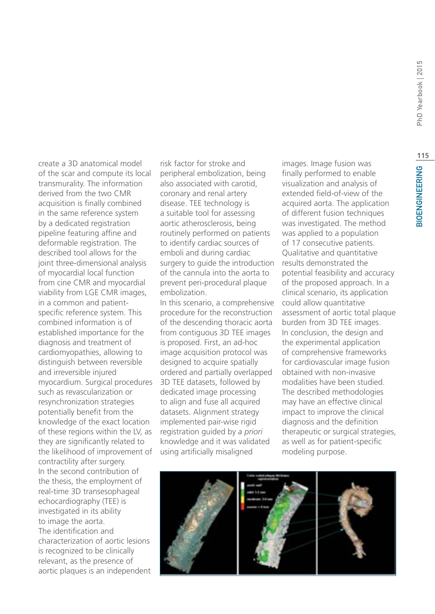**115BIOENGINEERING** 

create a 3D anatomical model of the scar and compute its local transmurality. The information derived from the two CMR acquisition is finally combined in the same reference system by a dedicated registration pipeline featuring affine and deformable registration. The described tool allows for the joint three-dimensional analysis of myocardial local function from cine CMR and myocardial viability from LGE CMR images, in a common and patientspecific reference system. This combined information is of established importance for the diagnosis and treatment of cardiomyopathies, allowing to distinguish between reversible and irreversible injured myocardium. Surgical procedures such as revascularization or resynchronization strategies potentially benefit from the knowledge of the exact location of these regions within the LV, as they are significantly related to the likelihood of improvement of contractility after surgery. In the second contribution of the thesis, the employment of real-time 3D transesophageal echocardiography (TEE) is investigated in its ability to image the aorta. The identification and characterization of aortic lesions is recognized to be clinically relevant, as the presence of aortic plaques is an independent

risk factor for stroke and peripheral embolization, being also associated with carotid, coronary and renal artery disease. TEE technology is a suitable tool for assessing aortic atherosclerosis, being routinely performed on patients to identify cardiac sources of emboli and during cardiac surgery to guide the introduction of the cannula into the aorta to prevent peri-procedural plaque embolization.

In this scenario, a comprehensive procedure for the reconstruction of the descending thoracic aorta from contiguous 3D TEE images is proposed. First, an ad-hoc image acquisition protocol was designed to acquire spatially ordered and partially overlapped 3D TEE datasets, followed by dedicated image processing to align and fuse all acquired datasets. Alignment strategy implemented pair-wise rigid registration guided by *a priori*  knowledge and it was validated using artificially misaligned

images. Image fusion was finally performed to enable visualization and analysis of extended field-of-view of the acquired aorta. The application of different fusion techniques was investigated. The method was applied to a population of 17 consecutive patients. Qualitative and quantitative results demonstrated the potential feasibility and accuracy of the proposed approach. In a clinical scenario, its application could allow quantitative assessment of aortic total plaque burden from 3D TEE images. In conclusion, the design and the experimental application of comprehensive frameworks for cardiovascular image fusion obtained with non-invasive modalities have been studied. The described methodologies may have an effective clinical impact to improve the clinical diagnosis and the definition therapeutic or surgical strategies, as well as for patient-specific modeling purpose.

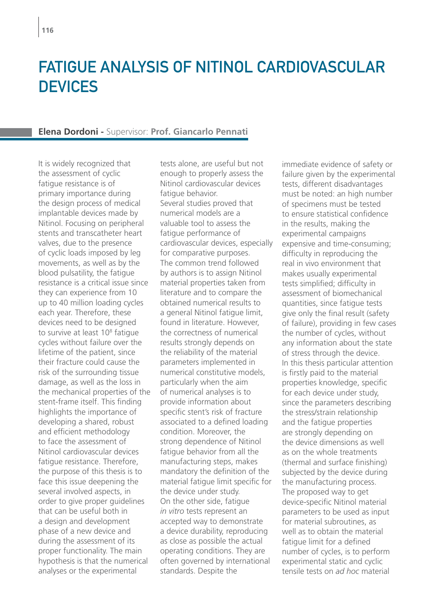# FATIGUE ANALYSIS OF NITINOL CARDIOVASCULAR **DEVICES**

### **Elena Dordoni -** Supervisor: **Prof. Giancarlo Pennati**

It is widely recognized that the assessment of cyclic fatigue resistance is of primary importance during the design process of medical implantable devices made by Nitinol. Focusing on peripheral stents and transcatheter heart valves, due to the presence of cyclic loads imposed by leg movements, as well as by the blood pulsatility, the fatigue resistance is a critical issue since they can experience from 10 up to 40 million loading cycles each year. Therefore, these devices need to be designed to survive at least 10<sup>8</sup> fatigue cycles without failure over the lifetime of the patient, since their fracture could cause the risk of the surrounding tissue damage, as well as the loss in the mechanical properties of the stent-frame itself. This finding highlights the importance of developing a shared, robust and efficient methodology to face the assessment of Nitinol cardiovascular devices fatigue resistance. Therefore, the purpose of this thesis is to face this issue deepening the several involved aspects, in order to give proper guidelines that can be useful both in a design and development phase of a new device and during the assessment of its proper functionality. The main hypothesis is that the numerical analyses or the experimental

tests alone, are useful but not enough to properly assess the Nitinol cardiovascular devices fatigue behavior. Several studies proved that numerical models are a valuable tool to assess the fatigue performance of cardiovascular devices, especially for comparative purposes. The common trend followed by authors is to assign Nitinol material properties taken from literature and to compare the obtained numerical results to a general Nitinol fatigue limit, found in literature. However, the correctness of numerical results strongly depends on the reliability of the material parameters implemented in numerical constitutive models, particularly when the aim of numerical analyses is to provide information about specific stent's risk of fracture associated to a defined loading condition. Moreover, the strong dependence of Nitinol fatigue behavior from all the manufacturing steps, makes mandatory the definition of the material fatigue limit specific for the device under study. On the other side, fatigue *in vitro* tests represent an accepted way to demonstrate a device durability, reproducing as close as possible the actual operating conditions. They are often governed by international standards. Despite the

immediate evidence of safety or failure given by the experimental tests, different disadvantages must be noted: an high number of specimens must be tested to ensure statistical confidence in the results, making the experimental campaigns expensive and time-consuming; difficulty in reproducing the real in vivo environment that makes usually experimental tests simplified; difficulty in assessment of biomechanical quantities, since fatigue tests give only the final result (safety of failure), providing in few cases the number of cycles, without any information about the state of stress through the device. In this thesis particular attention is firstly paid to the material properties knowledge, specific for each device under study, since the parameters describing the stress/strain relationship and the fatigue properties are strongly depending on the device dimensions as well as on the whole treatments (thermal and surface finishing) subjected by the device during the manufacturing process. The proposed way to get device-specific Nitinol material parameters to be used as input for material subroutines, as well as to obtain the material fatique limit for a defined number of cycles, is to perform experimental static and cyclic tensile tests on *ad hoc* material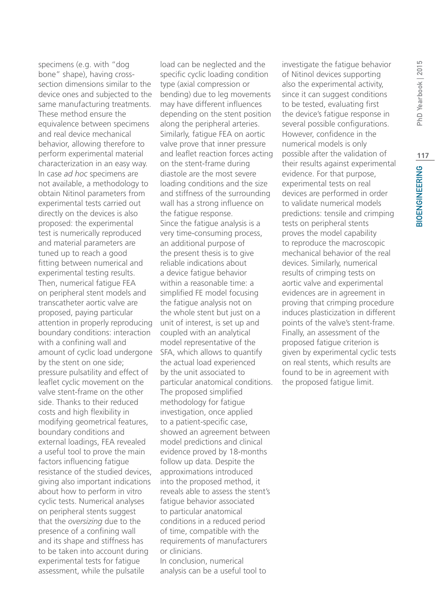specimens (e.g. with "dog bone" shape), having crosssection dimensions similar to the device ones and subjected to the same manufacturing treatments. These method ensure the equivalence between specimens and real device mechanical behavior, allowing therefore to perform experimental material characterization in an easy way. In case *ad hoc* specimens are not available, a methodology to obtain Nitinol parameters from experimental tests carried out directly on the devices is also proposed: the experimental test is numerically reproduced and material parameters are tuned up to reach a good fitting between numerical and experimental testing results. Then, numerical fatigue FEA on peripheral stent models and transcatheter aortic valve are proposed, paying particular attention in properly reproducing boundary conditions: interaction with a confining wall and amount of cyclic load undergone by the stent on one side; pressure pulsatility and effect of leaflet cyclic movement on the valve stent-frame on the other side. Thanks to their reduced costs and high flexibility in modifying geometrical features, boundary conditions and external loadings, FEA revealed a useful tool to prove the main factors influencing fatigue resistance of the studied devices, giving also important indications about how to perform in vitro cyclic tests. Numerical analyses on peripheral stents suggest that the *oversizing* due to the presence of a confining wall and its shape and stiffness has to be taken into account during experimental tests for fatigue assessment, while the pulsatile

load can be neglected and the specific cyclic loading condition type (axial compression or bending) due to leg movements may have different influences depending on the stent position along the peripheral arteries. Similarly, fatigue FEA on aortic valve prove that inner pressure and leaflet reaction forces acting on the stent-frame during diastole are the most severe loading conditions and the size and stiffness of the surrounding wall has a strong influence on the fatigue response. Since the fatigue analysis is a very time-consuming process, an additional purpose of the present thesis is to give reliable indications about a device fatigue behavior within a reasonable time: a simplified FE model focusing the fatigue analysis not on the whole stent but just on a unit of interest, is set up and coupled with an analytical model representative of the SFA, which allows to quantify the actual load experienced by the unit associated to particular anatomical conditions. The proposed simplified methodology for fatigue investigation, once applied to a patient-specific case, showed an agreement between model predictions and clinical evidence proved by 18-months follow up data. Despite the approximations introduced into the proposed method, it reveals able to assess the stent's fatigue behavior associated to particular anatomical conditions in a reduced period of time, compatible with the requirements of manufacturers or clinicians. In conclusion, numerical analysis can be a useful tool to

investigate the fatigue behavior of Nitinol devices supporting also the experimental activity, since it can suggest conditions to be tested, evaluating first the device's fatigue response in several possible configurations. However, confidence in the numerical models is only possible after the validation of their results against experimental evidence. For that purpose, experimental tests on real devices are performed in order to validate numerical models predictions: tensile and crimping tests on peripheral stents proves the model capability to reproduce the macroscopic mechanical behavior of the real devices. Similarly, numerical results of crimping tests on aortic valve and experimental evidences are in agreement in proving that crimping procedure induces plasticization in different points of the valve's stent-frame. Finally, an assessment of the proposed fatigue criterion is given by experimental cyclic tests on real stents, which results are found to be in agreement with the proposed fatigue limit.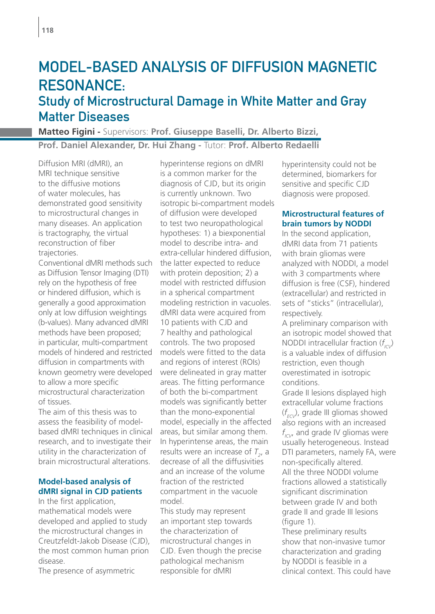# MODEL-BASED ANALYSIS OF DIFFUSION MAGNETIC RESONANCE:

## Study of Microstructural Damage in White Matter and Gray Matter Diseases

**Matteo Figini -** Supervisors: **Prof. Giuseppe Baselli, Dr. Alberto Bizzi,** 

**Prof. Daniel Alexander, Dr. Hui Zhang -** Tutor: **Prof. Alberto Redaelli**

Diffusion MRI (dMRI), an MRI technique sensitive to the diffusive motions of water molecules, has demonstrated good sensitivity to microstructural changes in many diseases. An application is tractography, the virtual reconstruction of fiber trajectories.

Conventional dMRI methods such as Diffusion Tensor Imaging (DTI) rely on the hypothesis of free or hindered diffusion, which is generally a good approximation only at low diffusion weightings (b-values). Many advanced dMRI methods have been proposed; in particular, multi-compartment models of hindered and restricted diffusion in compartments with known geometry were developed to allow a more specific microstructural characterization of tissues.

The aim of this thesis was to assess the feasibility of modelbased dMRI techniques in clinical research, and to investigate their utility in the characterization of brain microstructural alterations.

## **Model-based analysis of dMRI signal in CJD patients**

In the first application, mathematical models were developed and applied to study the microstructural changes in Creutzfeldt-Jakob Disease (CJD), the most common human prion disease.

The presence of asymmetric

hyperintense regions on dMRI is a common marker for the diagnosis of CJD, but its origin is currently unknown. Two isotropic bi-compartment models of diffusion were developed to test two neuropathological hypotheses: 1) a biexponential model to describe intra- and extra-cellular hindered diffusion, the latter expected to reduce with protein deposition; 2) a model with restricted diffusion in a spherical compartment modeling restriction in vacuoles. dMRI data were acquired from 10 patients with CJD and 7 healthy and pathological controls. The two proposed models were fitted to the data and regions of interest (ROIs) were delineated in gray matter areas. The fitting performance of both the bi-compartment models was significantly better than the mono-exponential model, especially in the affected areas, but similar among them. In hyperintense areas, the main results were an increase of  $T_{2}$ , a decrease of all the diffusivities and an increase of the volume fraction of the restricted compartment in the vacuole model.

This study may represent an important step towards the characterization of microstructural changes in CJD. Even though the precise pathological mechanism responsible for dMRI

hyperintensity could not be determined, biomarkers for sensitive and specific CJD diagnosis were proposed.

### **Microstructural features of brain tumors by NODDI**

In the second application, dMRI data from 71 patients with brain gliomas were analyzed with NODDI, a model with 3 compartments where diffusion is free (CSF), hindered (extracellular) and restricted in sets of "sticks" (intracellular), respectively.

A preliminary comparison with an isotropic model showed that NODDI intracellular fraction (*f ICV*) is a valuable index of diffusion restriction, even though overestimated in isotropic conditions.

Grade II lesions displayed high extracellular volume fractions (*f ECV*), grade III gliomas showed also regions with an increased *f ICV*, and grade IV gliomas were usually heterogeneous. Instead DTI parameters, namely FA, were non-specifically altered. All the three NODDI volume fractions allowed a statistically significant discrimination between grade IV and both grade II and grade III lesions  $(figure 1)$ .

These preliminary results show that non-invasive tumor characterization and grading by NODDI is feasible in a clinical context. This could have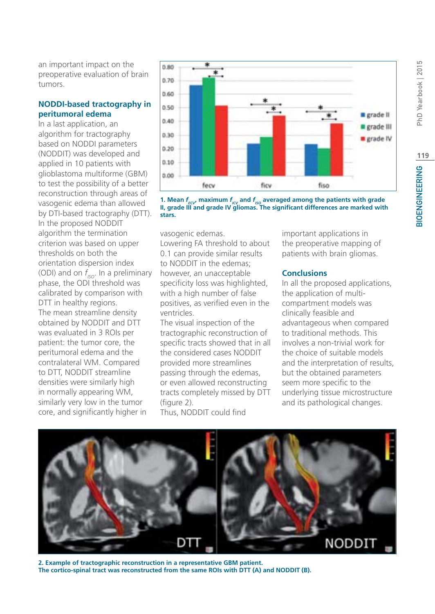an important impact on the preoperative evaluation of brain tumors.

## **NODDI-based tractography in peritumoral edema**

In a last application, an algorithm for tractography based on NODDI parameters (NODDIT) was developed and applied in 10 patients with glioblastoma multiforme (GBM) to test the possibility of a better reconstruction through areas of vasogenic edema than allowed by DTI-based tractography (DTT). In the proposed NODDIT algorithm the termination criterion was based on upper thresholds on both the orientation dispersion index (ODI) and on *f ISO*. In a preliminary phase, the ODI threshold was calibrated by comparison with DTT in healthy regions. The mean streamline density obtained by NODDIT and DTT was evaluated in 3 ROIs per patient: the tumor core, the peritumoral edema and the contralateral WM. Compared to DTT, NODDIT streamline densities were similarly high in normally appearing WM, similarly very low in the tumor core, and significantly higher in



1. Mean  $f_{\rm ECV}$  maximum  $f_{\rm ICV}$  and  $f_{\rm ISO}$  averaged among the patients with grade<br>II, grade III and grade IV gliomas. The significant differences are marked with **stars.**

vasogenic edemas.

Lowering FA threshold to about 0.1 can provide similar results to NODDIT in the edemas; however, an unacceptable specificity loss was highlighted, with a high number of false positives, as verified even in the ventricles.

The visual inspection of the tractographic reconstruction of specific tracts showed that in all the considered cases NODDIT provided more streamlines passing through the edemas, or even allowed reconstructing tracts completely missed by DTT  $(fiqure 2)$ .

Thus, NODDIT could find

important applications in the preoperative mapping of patients with brain gliomas.

### **Conclusions**

In all the proposed applications, the application of multicompartment models was clinically feasible and advantageous when compared to traditional methods. This involves a non-trivial work for the choice of suitable models and the interpretation of results, but the obtained parameters seem more specific to the underlying tissue microstructure and its pathological changes.



**2. Example of tractographic reconstruction in a representative GBM patient. The cortico-spinal tract was reconstructed from the same ROIs with DTT (A) and NODDIT (B).**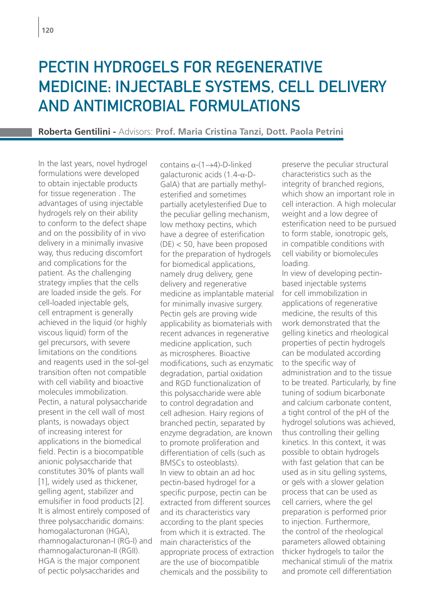# PECTIN HYDROGELS FOR REGENERATIVE MEDICINE: INJECTABLE SYSTEMS, CELL DELIVERY AND ANTIMICROBIAL FORMULATIONS

## **Roberta Gentilini -** Advisors: **Prof. Maria Cristina Tanzi, Dott. Paola Petrini**

In the last years, novel hydrogel formulations were developed to obtain injectable products for tissue regeneration . The advantages of using injectable hydrogels rely on their ability to conform to the defect shape and on the possibility of in vivo delivery in a minimally invasive way, thus reducing discomfort and complications for the patient. As the challenging strategy implies that the cells are loaded inside the gels. For cell-loaded injectable gels, cell entrapment is generally achieved in the liquid (or highly viscous liquid) form of the gel precursors, with severe limitations on the conditions and reagents used in the sol-gel transition often not compatible with cell viability and bioactive molecules immobilization. Pectin, a natural polysaccharide present in the cell wall of most plants, is nowadays object of increasing interest for applications in the biomedical field. Pectin is a biocompatible anionic polysaccharide that constitutes 30% of plants wall [1], widely used as thickener, gelling agent, stabilizer and emulsifier in food products [2]. It is almost entirely composed of three polysaccharidic domains: homogalacturonan (HGA), rhamnogalacturonan-I (RG-I) and rhamnogalacturonan-II (RGII). HGA is the major component of pectic polysaccharides and

contains a-(1→4)-D-linked galacturonic acids (1.4-a-D-GalA) that are partially methylesterified and sometimes partially acetylesterified Due to the peculiar gelling mechanism, low methoxy pectins, which have a degree of esterification (DE) < 50, have been proposed for the preparation of hydrogels for biomedical applications, namely drug delivery, gene delivery and regenerative medicine as implantable material for minimally invasive surgery. Pectin gels are proving wide applicability as biomaterials with recent advances in regenerative medicine application, such as microspheres. Bioactive modifications, such as enzymatic degradation, partial oxidation and RGD functionalization of this polysaccharide were able to control degradation and cell adhesion. Hairy regions of branched pectin, separated by enzyme degradation, are known to promote proliferation and differentiation of cells (such as BMSCs to osteoblasts). In view to obtain an ad hoc pectin-based hydrogel for a specific purpose, pectin can be extracted from different sources and its characteristics vary according to the plant species from which it is extracted. The main characteristics of the appropriate process of extraction are the use of biocompatible chemicals and the possibility to

preserve the peculiar structural characteristics such as the integrity of branched regions, which show an important role in cell interaction. A high molecular weight and a low degree of esterification need to be pursued to form stable, ionotropic gels, in compatible conditions with cell viability or biomolecules loading.

In view of developing pectinbased injectable systems for cell immobilization in applications of regenerative medicine, the results of this work demonstrated that the gelling kinetics and rheological properties of pectin hydrogels can be modulated according to the specific way of administration and to the tissue to be treated. Particularly, by fine tuning of sodium bicarbonate and calcium carbonate content, a tight control of the pH of the hydrogel solutions was achieved, thus controlling their gelling kinetics. In this context, it was possible to obtain hydrogels with fast gelation that can be used as in situ gelling systems, or gels with a slower gelation process that can be used as cell carriers, where the gel preparation is performed prior to injection. Furthermore, the control of the rheological parameters allowed obtaining thicker hydrogels to tailor the mechanical stimuli of the matrix and promote cell differentiation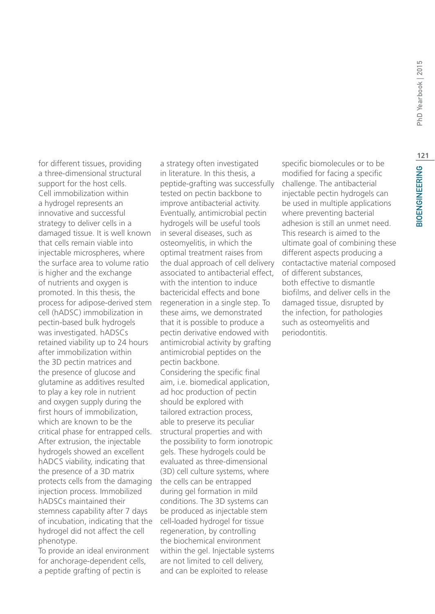**121BIOENGINEERING** 

for different tissues, providing a three-dimensional structural support for the host cells. Cell immobilization within a hydrogel represents an innovative and successful strategy to deliver cells in a damaged tissue. It is well known that cells remain viable into injectable microspheres, where the surface area to volume ratio is higher and the exchange of nutrients and oxygen is promoted. In this thesis, the process for adipose-derived stem cell (hADSC) immobilization in pectin-based bulk hydrogels was investigated. hADSCs retained viability up to 24 hours after immobilization within the 3D pectin matrices and the presence of glucose and glutamine as additives resulted to play a key role in nutrient and oxygen supply during the first hours of immobilization. which are known to be the critical phase for entrapped cells. After extrusion, the injectable hydrogels showed an excellent hADCS viability, indicating that the presence of a 3D matrix protects cells from the damaging injection process. Immobilized hADSCs maintained their stemness capability after 7 days of incubation, indicating that the hydrogel did not affect the cell phenotype.

To provide an ideal environment for anchorage-dependent cells, a peptide grafting of pectin is

a strategy often investigated in literature. In this thesis, a peptide-grafting was successfully tested on pectin backbone to improve antibacterial activity. Eventually, antimicrobial pectin hydrogels will be useful tools in several diseases, such as osteomyelitis, in which the optimal treatment raises from the dual approach of cell delivery associated to antibacterial effect, with the intention to induce bactericidal effects and bone regeneration in a single step. To these aims, we demonstrated that it is possible to produce a pectin derivative endowed with antimicrobial activity by grafting antimicrobial peptides on the pectin backbone. Considering the specific final aim, i.e. biomedical application, ad hoc production of pectin should be explored with tailored extraction process, able to preserve its peculiar structural properties and with the possibility to form ionotropic gels. These hydrogels could be evaluated as three-dimensional (3D) cell culture systems, where the cells can be entrapped during gel formation in mild conditions. The 3D systems can be produced as injectable stem cell-loaded hydrogel for tissue regeneration, by controlling the biochemical environment within the gel. Injectable systems are not limited to cell delivery, and can be exploited to release

specific biomolecules or to be modified for facing a specific challenge. The antibacterial injectable pectin hydrogels can be used in multiple applications where preventing bacterial adhesion is still an unmet need. This research is aimed to the ultimate goal of combining these different aspects producing a contactactive material composed of different substances, both effective to dismantle biofilms, and deliver cells in the damaged tissue, disrupted by the infection, for pathologies such as osteomyelitis and periodontitis.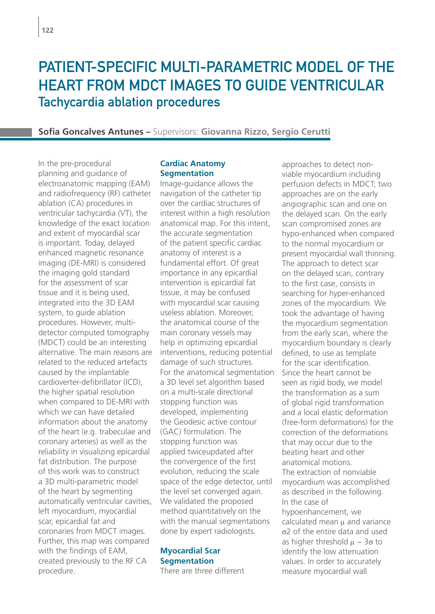# PATIENT-SPECIFIC MULTI-PARAMETRIC MODEL OF THE HEART FROM MDCT IMAGES TO GUIDE VENTRICULAR Tachycardia ablation procedures

## **Sofia Goncalves Antunes - Supervisors: Giovanna Rizzo, Sergio Cerutti**

In the pre-procedural planning and guidance of electroanatomic mapping (EAM) and radiofrequency (RF) catheter ablation (CA) procedures in ventricular tachycardia (VT), the knowledge of the exact location and extent of myocardial scar is important. Today, delayed enhanced magnetic resonance imaging (DE-MRI) is considered the imaging gold standard for the assessment of scar tissue and it is being used, integrated into the 3D EAM system, to guide ablation procedures. However, multidetector computed tomography (MDCT) could be an interesting alternative. The main reasons are related to the reduced artefacts caused by the implantable cardioverter-defibrillator (ICD), the higher spatial resolution when compared to DE-MRI with which we can have detailed information about the anatomy of the heart (e.g. trabeculae and coronary arteries) as well as the reliability in visualizing epicardial fat distribution. The purpose of this work was to construct a 3D multi-parametric model of the heart by segmenting automatically ventricular cavities, left myocardium, myocardial scar, epicardial fat and coronaries from MDCT images. Further, this map was compared with the findings of EAM, created previously to the RF CA procedure.

#### **Cardiac Anatomy Segmentation**

Image-guidance allows the navigation of the catheter tip over the cardiac structures of interest within a high resolution anatomical map. For this intent, the accurate segmentation of the patient specific cardiac anatomy of interest is a fundamental effort. Of great importance in any epicardial intervention is epicardial fat tissue, it may be confused with myocardial scar causing useless ablation. Moreover, the anatomical course of the main coronary vessels may help in optimizing epicardial interventions, reducing potential damage of such structures. For the anatomical segmentation a 3D level set algorithm based on a multi-scale directional stopping function was developed, implementing the Geodesic active contour (GAC) formulation. The stopping function was applied twiceupdated after the convergence of the first evolution, reducing the scale space of the edge detector, until the level set converged again. We validated the proposed method quantitatively on the with the manual segmentations done by expert radiologists.

### **Myocardial Scar Segmentation**

There are three different

approaches to detect nonviable myocardium including perfusion defects in MDCT; two approaches are on the early angiographic scan and one on the delayed scan. On the early scan compromised zones are hypo-enhanced when compared to the normal myocardium or present myocardial wall thinning. The approach to detect scar on the delayed scan, contrary to the first case, consists in searching for hyper-enhanced zones of the myocardium. We took the advantage of having the myocardium segmentation from the early scan, where the myocardium boundary is clearly defined, to use as template for the scar identification Since the heart cannot be seen as rigid body, we model the transformation as a sum of global rigid transformation and a local elastic deformation (free-form deformations) for the correction of the deformations that may occur due to the beating heart and other anatomical motions. The extraction of nonviable myocardium was accomplished as described in the following. In the case of hypoenhancement, we calculated mean u and variance  $\sigma$ 2 of the entire data and used as higher threshold  $\mu$  – 3 $\sigma$  to identify the low attenuation values. In order to accurately measure myocardial wall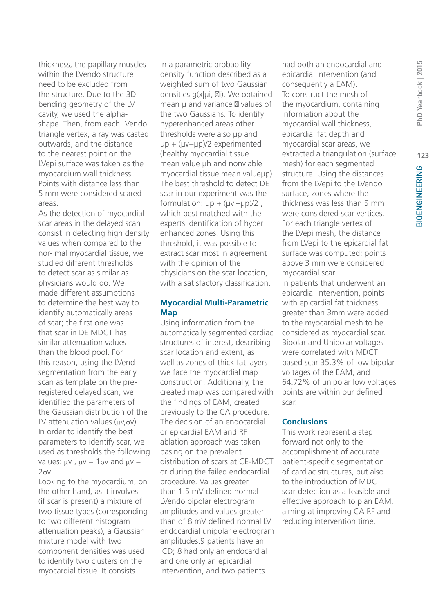thickness, the papillary muscles within the LVendo structure need to be excluded from the structure. Due to the 3D bending geometry of the LV cavity, we used the alphashape. Then, from each LVendo triangle vertex, a ray was casted outwards, and the distance to the nearest point on the LVepi surface was taken as the myocardium wall thickness. Points with distance less than 5 mm were considered scared areas.

As the detection of myocardial scar areas in the delayed scan consist in detecting high density values when compared to the nor- mal myocardial tissue, we studied different thresholds to detect scar as similar as physicians would do. We made different assumptions to determine the best way to identify automatically areas of scar; the first one was that scar in DE MDCT has similar attenuation values than the blood pool. For this reason, using the LVend segmentation from the early scan as template on the preregistered delayed scan, we identified the parameters of the Gaussian distribution of the LV attenuation values  $(uv,\sigma v)$ . In order to identify the best parameters to identify scar, we used as thresholds the following values:  $\mu v$ ,  $\mu v - 1$  ov and  $\mu v - 1$  $2\sigma v$ .

Looking to the myocardium, on the other hand, as it involves (if scar is present) a mixture of two tissue types (corresponding to two different histogram attenuation peaks), a Gaussian mixture model with two component densities was used to identify two clusters on the myocardial tissue. It consists

in a parametric probability density function described as a weighted sum of two Gaussian densities g(x|μi, ⊠i). We obtained mean  $\mu$  and variance  $\boxtimes$  values of the two Gaussians. To identify hyperenhanced areas other thresholds were also μp and μp + (μv−μp)/2 experimented (healthy myocardial tissue mean value μh and nonviable myocardial tissue mean valueμp). The best threshold to detect DE scar in our experiment was the formulation:  $\mu p + (\mu v - \mu p)/2$ , which best matched with the experts identification of hyper enhanced zones. Using this threshold, it was possible to extract scar most in agreement with the opinion of the physicians on the scar location, with a satisfactory classification.

### **Myocardial Multi-Parametric Map**

Using information from the automatically segmented cardiac structures of interest, describing scar location and extent, as well as zones of thick fat layers we face the myocardial map construction. Additionally, the created map was compared with the findings of EAM, created previously to the CA procedure. The decision of an endocardial or epicardial EAM and RF ablation approach was taken basing on the prevalent distribution of scars at CE-MDCT or during the failed endocardial procedure. Values greater than  $1.5$  mV defined normal LVendo bipolar electrogram amplitudes and values greater than of 8 mV defined normal LV endocardial unipolar electrogram amplitudes.9 patients have an ICD; 8 had only an endocardial and one only an epicardial intervention, and two patients

had both an endocardial and epicardial intervention (and consequently a EAM). To construct the mesh of the myocardium, containing information about the myocardial wall thickness, epicardial fat depth and myocardial scar areas, we extracted a triangulation (surface mesh) for each segmented structure. Using the distances from the LVepi to the LVendo surface, zones where the thickness was less than 5 mm were considered scar vertices. For each triangle vertex of the LVepi mesh, the distance from LVepi to the epicardial fat surface was computed; points above 3 mm were considered myocardial scar.

In patients that underwent an epicardial intervention, points with epicardial fat thickness greater than 3mm were added to the myocardial mesh to be considered as myocardial scar. Bipolar and Unipolar voltages were correlated with MDCT based scar 35.3% of low bipolar voltages of the EAM, and 64.72% of unipolar low voltages points are within our defined scar.

### **Conclusions**

This work represent a step forward not only to the accomplishment of accurate patient-specific segmentation of cardiac structures, but also to the introduction of MDCT scar detection as a feasible and effective approach to plan EAM, aiming at improving CA RF and reducing intervention time.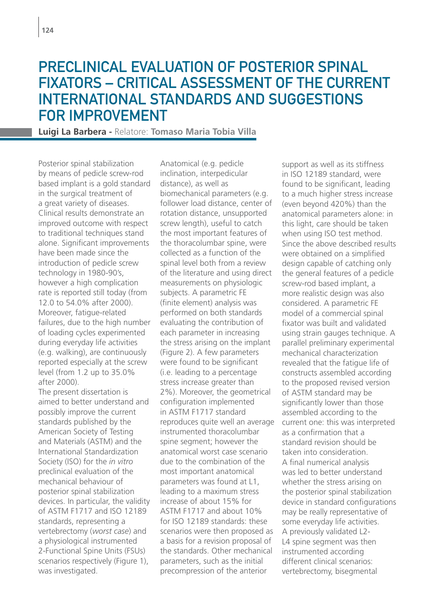## PRECLINICAL EVALUATION OF POSTERIOR SPINAL FIXATORS – CRITICAL ASSESSMENT OF THE CURRENT INTERNATIONAL STANDARDS AND SUGGESTIONS FOR IMPROVEMENT

**Luigi La Barbera -** Relatore: **Tomaso Maria Tobia Villa**

Posterior spinal stabilization by means of pedicle screw-rod based implant is a gold standard in the surgical treatment of a great variety of diseases. Clinical results demonstrate an improved outcome with respect to traditional techniques stand alone. Significant improvements have been made since the introduction of pedicle screw technology in 1980-90's, however a high complication rate is reported still today (from 12.0 to 54.0% after 2000). Moreover, fatigue-related failures, due to the high number of loading cycles experimented during everyday life activities (e.g. walking), are continuously reported especially at the screw level (from 1.2 up to 35.0% after 2000).

The present dissertation is aimed to better understand and possibly improve the current standards published by the American Society of Testing and Materials (ASTM) and the International Standardization Society (ISO) for the *in vitro* preclinical evaluation of the mechanical behaviour of posterior spinal stabilization devices. In particular, the validity of ASTM F1717 and ISO 12189 standards, representing a vertebrectomy (*worst case*) and a physiological instrumented 2-Functional Spine Units (FSUs) scenarios respectively (Figure 1), was investigated.

Anatomical (e.g. pedicle inclination, interpedicular distance), as well as biomechanical parameters (e.g. follower load distance, center of rotation distance, unsupported screw length), useful to catch the most important features of the thoracolumbar spine, were collected as a function of the spinal level both from a review of the literature and using direct measurements on physiologic subjects. A parametric FE (finite element) analysis was performed on both standards evaluating the contribution of each parameter in increasing the stress arising on the implant (Figure 2). A few parameters were found to be significant (i.e. leading to a percentage stress increase greater than 2%). Moreover, the geometrical configuration implemented in ASTM F1717 standard reproduces quite well an average instrumented thoracolumbar spine segment; however the anatomical worst case scenario due to the combination of the most important anatomical parameters was found at L1, leading to a maximum stress increase of about 15% for ASTM F1717 and about 10% for ISO 12189 standards: these scenarios were then proposed as a basis for a revision proposal of the standards. Other mechanical parameters, such as the initial precompression of the anterior

support as well as its stiffness in ISO 12189 standard, were found to be significant, leading to a much higher stress increase (even beyond 420%) than the anatomical parameters alone: in this light, care should be taken when using ISO test method. Since the above described results were obtained on a simplified design capable of catching only the general features of a pedicle screw-rod based implant, a more realistic design was also considered. A parametric FE model of a commercial spinal fixator was built and validated using strain gauges technique. A parallel preliminary experimental mechanical characterization revealed that the fatigue life of constructs assembled according to the proposed revised version of ASTM standard may be significantly lower than those assembled according to the current one: this was interpreted as a confirmation that a standard revision should be taken into consideration. A final numerical analysis was led to better understand whether the stress arising on the posterior spinal stabilization device in standard configurations may be really representative of some everyday life activities. A previously validated L2- L4 spine segment was then instrumented according different clinical scenarios: vertebrectomy, bisegmental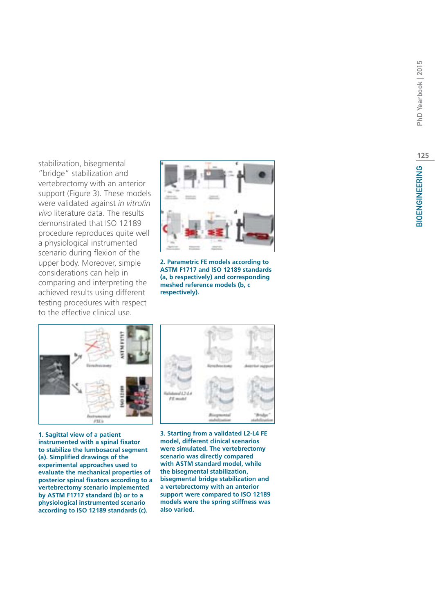BIOENGINEERING PhD Yearbook | 2015 **125BIOENGINEERING** 

PhD Yearbook | 2015

stabilization, bisegmental "bridge" stabilization and vertebrectomy with an anterior support (Figure 3). These models were validated against *in vitro/in vivo* literature data. The results demonstrated that ISO 12189 procedure reproduces quite well a physiological instrumented scenario during flexion of the upper body. Moreover, simple considerations can help in comparing and interpreting the achieved results using different testing procedures with respect to the effective clinical use.



**2. Parametric FE models according to ASTM F1717 and ISO 12189 standards (a, b respectively) and corresponding meshed reference models (b, c respectively).**



**1. Sagittal view of a patient instrumented with a spinal fixator to stabilize the lumbosacral segment**  (a). Simplified drawings of the **experimental approaches used to evaluate the mechanical properties of posterior spinal fixators according to a vertebrectomy scenario implemented by ASTM F1717 standard (b) or to a physiological instrumented scenario according to ISO 12189 standards (c).**



**3. Starting from a validated L2-L4 FE model, different clinical scenarios were simulated. The vertebrectomy scenario was directly compared with ASTM standard model, while the bisegmental stabilization, bisegmental bridge stabilization and a vertebrectomy with an anterior support were compared to ISO 12189 models were the spring stiffness was also varied.**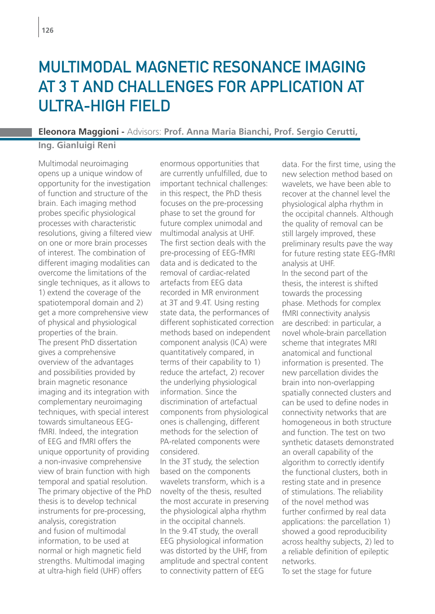# MULTIMODAL MAGNETIC RESONANCE IMAGING AT 3 T AND CHALLENGES FOR APPLICATION AT ULTRA-HIGH FIELD

## **Eleonora Maggioni -** Advisors: **Prof. Anna Maria Bianchi, Prof. Sergio Cerutti,**

## **Ing. Gianluigi Reni**

Multimodal neuroimaging opens up a unique window of opportunity for the investigation of function and structure of the brain. Each imaging method probes specific physiological processes with characteristic resolutions, giving a filtered view on one or more brain processes of interest. The combination of different imaging modalities can overcome the limitations of the single techniques, as it allows to 1) extend the coverage of the spatiotemporal domain and 2) get a more comprehensive view of physical and physiological properties of the brain. The present PhD dissertation gives a comprehensive overview of the advantages and possibilities provided by brain magnetic resonance imaging and its integration with complementary neuroimaging techniques, with special interest towards simultaneous EEGfMRI. Indeed, the integration of EEG and fMRI offers the unique opportunity of providing a non-invasive comprehensive view of brain function with high temporal and spatial resolution. The primary objective of the PhD thesis is to develop technical instruments for pre-processing, analysis, coregistration and fusion of multimodal information, to be used at normal or high magnetic field strengths. Multimodal imaging at ultra-high field (UHF) offers

enormous opportunities that are currently unfulfilled, due to important technical challenges: in this respect, the PhD thesis focuses on the pre-processing phase to set the ground for future complex unimodal and multimodal analysis at UHF. The first section deals with the pre-processing of EEG-fMRI data and is dedicated to the removal of cardiac-related artefacts from EEG data recorded in MR environment at 3T and 9.4T. Using resting state data, the performances of different sophisticated correction methods based on independent component analysis (ICA) were quantitatively compared, in terms of their capability to 1) reduce the artefact, 2) recover the underlying physiological information. Since the discrimination of artefactual components from physiological ones is challenging, different methods for the selection of PA-related components were considered.

In the 3T study, the selection based on the components wavelets transform, which is a novelty of the thesis, resulted the most accurate in preserving the physiological alpha rhythm in the occipital channels. In the 9.4T study, the overall EEG physiological information was distorted by the UHF, from amplitude and spectral content to connectivity pattern of EEG

data. For the first time, using the new selection method based on wavelets, we have been able to recover at the channel level the physiological alpha rhythm in the occipital channels. Although the quality of removal can be still largely improved, these preliminary results pave the way for future resting state EEG-fMRI analysis at UHF. In the second part of the thesis, the interest is shifted towards the processing phase. Methods for complex fMRI connectivity analysis are described: in particular, a novel whole-brain parcellation scheme that integrates MRI anatomical and functional information is presented. The new parcellation divides the brain into non-overlapping spatially connected clusters and can be used to define nodes in connectivity networks that are homogeneous in both structure and function. The test on two synthetic datasets demonstrated an overall capability of the algorithm to correctly identify the functional clusters, both in resting state and in presence of stimulations. The reliability of the novel method was further confirmed by real data applications: the parcellation 1) showed a good reproducibility across healthy subjects, 2) led to a reliable definition of epileptic networks.

To set the stage for future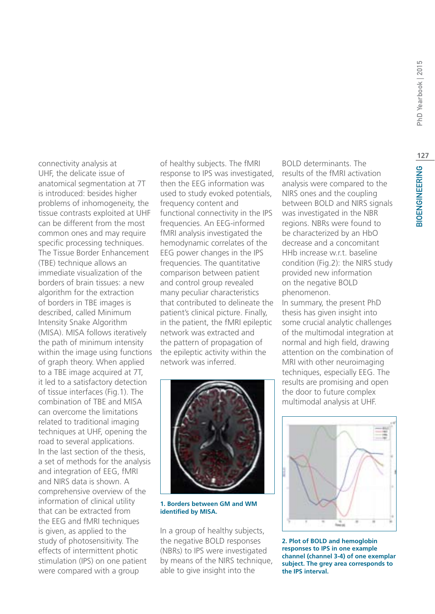**1273IOENGINEERING** 

connectivity analysis at UHF, the delicate issue of anatomical segmentation at 7T is introduced: besides higher problems of inhomogeneity, the tissue contrasts exploited at UHF can be different from the most common ones and may require specific processing techniques. The Tissue Border Enhancement (TBE) technique allows an immediate visualization of the borders of brain tissues: a new algorithm for the extraction of borders in TBE images is described, called Minimum Intensity Snake Algorithm (MISA). MISA follows iteratively the path of minimum intensity within the image using functions of graph theory. When applied to a TBE image acquired at 7T, it led to a satisfactory detection of tissue interfaces (Fig.1). The combination of TBE and MISA can overcome the limitations related to traditional imaging techniques at UHF, opening the road to several applications. In the last section of the thesis, a set of methods for the analysis and integration of EEG, fMRI and NIRS data is shown. A comprehensive overview of the information of clinical utility that can be extracted from the EEG and fMRI techniques is given, as applied to the study of photosensitivity. The effects of intermittent photic stimulation (IPS) on one patient were compared with a group

of healthy subjects. The fMRI response to IPS was investigated, then the EEG information was used to study evoked potentials, frequency content and functional connectivity in the IPS frequencies. An EEG-informed fMRI analysis investigated the hemodynamic correlates of the EEG power changes in the IPS frequencies. The quantitative comparison between patient and control group revealed many peculiar characteristics that contributed to delineate the patient's clinical picture. Finally, in the patient, the fMRI epileptic network was extracted and the pattern of propagation of the epileptic activity within the network was inferred.



**1. Borders between GM and WM identified by MISA.** 

In a group of healthy subjects, the negative BOLD responses (NBRs) to IPS were investigated by means of the NIRS technique, able to give insight into the

BOLD determinants. The results of the fMRI activation analysis were compared to the NIRS ones and the coupling between BOLD and NIRS signals was investigated in the NBR regions. NBRs were found to be characterized by an HbO decrease and a concomitant HHb increase w.r.t. baseline condition (Fig.2): the NIRS study provided new information on the negative BOLD phenomenon.

In summary, the present PhD thesis has given insight into some crucial analytic challenges of the multimodal integration at normal and high field, drawing attention on the combination of MRI with other neuroimaging techniques, especially EEG. The results are promising and open the door to future complex multimodal analysis at UHF.



**2. Plot of BOLD and hemoglobin responses to IPS in one example channel (channel 3-4) of one exemplar subject. The grey area corresponds to the IPS interval.**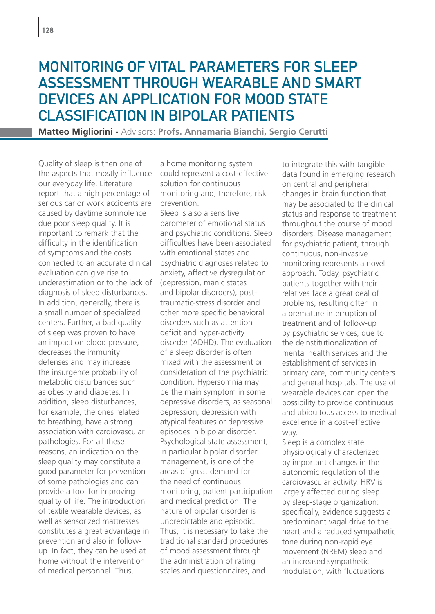## MONITORING OF VITAL PARAMETERS FOR SLEEP ASSESSMENT THROUGH WEARABLE AND SMART DEVICES AN APPLICATION FOR MOOD STATE CLASSIFICATION IN BIPOLAR PATIFNTS

**Matteo Migliorini -** Advisors: **Profs. Annamaria Bianchi, Sergio Cerutti**

Quality of sleep is then one of the aspects that mostly influence our everyday life. Literature report that a high percentage of serious car or work accidents are caused by daytime somnolence due poor sleep quality. It is important to remark that the difficulty in the identification of symptoms and the costs connected to an accurate clinical evaluation can give rise to underestimation or to the lack of diagnosis of sleep disturbances. In addition, generally, there is a small number of specialized centers. Further, a bad quality of sleep was proven to have an impact on blood pressure, decreases the immunity defenses and may increase the insurgence probability of metabolic disturbances such as obesity and diabetes. In addition, sleep disturbances, for example, the ones related to breathing, have a strong association with cardiovascular pathologies. For all these reasons, an indication on the sleep quality may constitute a good parameter for prevention of some pathologies and can provide a tool for improving quality of life. The introduction of textile wearable devices, as well as sensorized mattresses constitutes a great advantage in prevention and also in followup. In fact, they can be used at home without the intervention of medical personnel. Thus,

a home monitoring system could represent a cost-effective solution for continuous monitoring and, therefore, risk prevention. Sleep is also a sensitive barometer of emotional status and psychiatric conditions. Sleep difficulties have been associated with emotional states and psychiatric diagnoses related to anxiety, affective dysregulation (depression, manic states and bipolar disorders), posttraumatic-stress disorder and other more specific behavioral disorders such as attention deficit and hyper-activity disorder (ADHD). The evaluation of a sleep disorder is often mixed with the assessment or consideration of the psychiatric condition. Hypersomnia may be the main symptom in some depressive disorders, as seasonal depression, depression with atypical features or depressive episodes in bipolar disorder. Psychological state assessment, in particular bipolar disorder management, is one of the areas of great demand for the need of continuous monitoring, patient participation and medical prediction. The nature of bipolar disorder is unpredictable and episodic. Thus, it is necessary to take the traditional standard procedures of mood assessment through the administration of rating scales and questionnaires, and

to integrate this with tangible data found in emerging research on central and peripheral changes in brain function that may be associated to the clinical status and response to treatment throughout the course of mood disorders. Disease management for psychiatric patient, through continuous, non-invasive monitoring represents a novel approach. Today, psychiatric patients together with their relatives face a great deal of problems, resulting often in a premature interruption of treatment and of follow-up by psychiatric services, due to the deinstitutionalization of mental health services and the establishment of services in primary care, community centers and general hospitals. The use of wearable devices can open the possibility to provide continuous and ubiquitous access to medical excellence in a cost-effective  $M/AN$ 

Sleep is a complex state physiologically characterized by important changes in the autonomic regulation of the cardiovascular activity. HRV is largely affected during sleep by sleep-stage organization: specifically, evidence suggests a predominant vagal drive to the heart and a reduced sympathetic tone during non-rapid eye movement (NREM) sleep and an increased sympathetic modulation, with fluctuations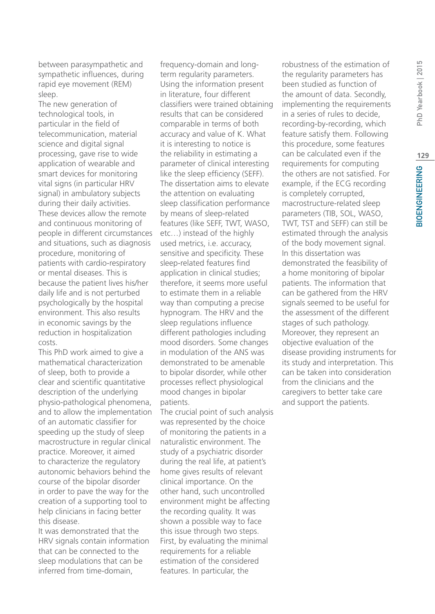between parasympathetic and sympathetic influences, during rapid eye movement (REM) sleep.

The new generation of technological tools, in particular in the field of telecommunication, material science and digital signal processing, gave rise to wide application of wearable and smart devices for monitoring vital signs (in particular HRV signal) in ambulatory subjects during their daily activities. These devices allow the remote and continuous monitoring of people in different circumstances and situations, such as diagnosis procedure, monitoring of patients with cardio-respiratory or mental diseases. This is because the patient lives his/her daily life and is not perturbed psychologically by the hospital environment. This also results in economic savings by the reduction in hospitalization costs.

This PhD work aimed to give a mathematical characterization of sleep, both to provide a clear and scientific quantitative description of the underlying physio-pathological phenomena, and to allow the implementation of an automatic classifier for speeding up the study of sleep macrostructure in regular clinical practice. Moreover, it aimed to characterize the regulatory autonomic behaviors behind the course of the bipolar disorder in order to pave the way for the creation of a supporting tool to help clinicians in facing better this disease.

It was demonstrated that the HRV signals contain information that can be connected to the sleep modulations that can be inferred from time-domain,

frequency-domain and longterm regularity parameters. Using the information present in literature, four different classifiers were trained obtaining results that can be considered comparable in terms of both accuracy and value of K. What it is interesting to notice is the reliability in estimating a parameter of clinical interesting like the sleep efficiency (SEFF). The dissertation aims to elevate the attention on evaluating sleep classification performance by means of sleep-related features (like SEFF, TWT, WASO, etc…) instead of the highly used metrics, i.e. accuracy, sensitive and specificity. These sleep-related features find application in clinical studies; therefore, it seems more useful to estimate them in a reliable way than computing a precise hypnogram. The HRV and the sleep regulations influence different pathologies including mood disorders. Some changes in modulation of the ANS was demonstrated to be amenable to bipolar disorder, while other processes reflect physiological mood changes in bipolar patients.

The crucial point of such analysis was represented by the choice of monitoring the patients in a naturalistic environment. The study of a psychiatric disorder during the real life, at patient's home gives results of relevant clinical importance. On the other hand, such uncontrolled environment might be affecting the recording quality. It was shown a possible way to face this issue through two steps. First, by evaluating the minimal requirements for a reliable estimation of the considered features. In particular, the

robustness of the estimation of the regularity parameters has been studied as function of the amount of data. Secondly, implementing the requirements in a series of rules to decide, recording-by-recording, which feature satisfy them. Following this procedure, some features can be calculated even if the requirements for computing the others are not satisfied. For example, if the ECG recording is completely corrupted, macrostructure-related sleep parameters (TIB, SOL, WASO, TWT, TST and SEFF) can still be estimated through the analysis of the body movement signal. In this dissertation was demonstrated the feasibility of a home monitoring of bipolar patients. The information that can be gathered from the HRV signals seemed to be useful for the assessment of the different stages of such pathology. Moreover, they represent an objective evaluation of the disease providing instruments for its study and interpretation. This can be taken into consideration from the clinicians and the caregivers to better take care and support the patients.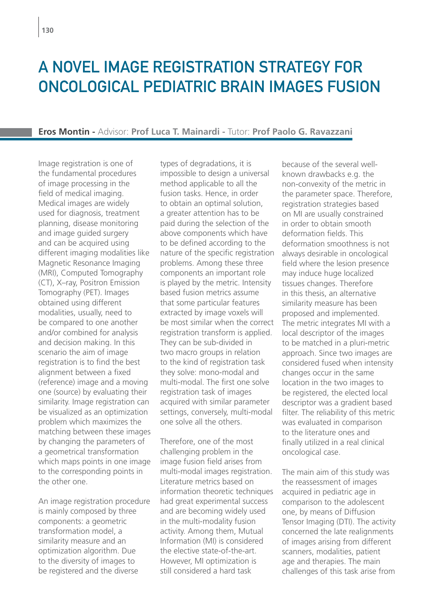# A NOVEL IMAGE REGISTRATION STRATEGY FOR ONCOLOGICAL PEDIATRIC BRAIN IMAGES FUSION

## **Eros Montin -** Advisor: **Prof Luca T. Mainardi -** Tutor: **Prof Paolo G. Ravazzani**

Image registration is one of the fundamental procedures of image processing in the field of medical imaging. Medical images are widely used for diagnosis, treatment planning, disease monitoring and image guided surgery and can be acquired using different imaging modalities like Magnetic Resonance Imaging (MRI), Computed Tomography (CT), X–ray, Positron Emission Tomography (PET). Images obtained using different modalities, usually, need to be compared to one another and/or combined for analysis and decision making. In this scenario the aim of image registration is to find the best alignment between a fixed (reference) image and a moving one (source) by evaluating their similarity. Image registration can be visualized as an optimization problem which maximizes the matching between these images by changing the parameters of a geometrical transformation which maps points in one image to the corresponding points in the other one.

An image registration procedure is mainly composed by three components: a geometric transformation model, a similarity measure and an optimization algorithm. Due to the diversity of images to be registered and the diverse

types of degradations, it is impossible to design a universal method applicable to all the fusion tasks. Hence, in order to obtain an optimal solution, a greater attention has to be paid during the selection of the above components which have to be defined according to the nature of the specific registration problems. Among these three components an important role is played by the metric. Intensity based fusion metrics assume that some particular features extracted by image voxels will be most similar when the correct registration transform is applied. They can be sub-divided in two macro groups in relation to the kind of registration task they solve: mono-modal and multi-modal. The first one solve registration task of images acquired with similar parameter settings, conversely, multi-modal one solve all the others.

Therefore, one of the most challenging problem in the image fusion field arises from multi-modal images registration. Literature metrics based on information theoretic techniques had great experimental success and are becoming widely used in the multi-modality fusion activity. Among them, Mutual Information (MI) is considered the elective state-of-the-art. However, MI optimization is still considered a hard task

because of the several wellknown drawbacks e.g. the non-convexity of the metric in the parameter space. Therefore, registration strategies based on MI are usually constrained in order to obtain smooth deformation fields. This deformation smoothness is not always desirable in oncological field where the lesion presence may induce huge localized tissues changes. Therefore in this thesis, an alternative similarity measure has been proposed and implemented. The metric integrates MI with a local descriptor of the images to be matched in a pluri-metric approach. Since two images are considered fused when intensity changes occur in the same location in the two images to be registered, the elected local descriptor was a gradient based filter. The reliability of this metric was evaluated in comparison to the literature ones and finally utilized in a real clinical oncological case.

The main aim of this study was the reassessment of images acquired in pediatric age in comparison to the adolescent one, by means of Diffusion Tensor Imaging (DTI). The activity concerned the late realignments of images arising from different scanners, modalities, patient age and therapies. The main challenges of this task arise from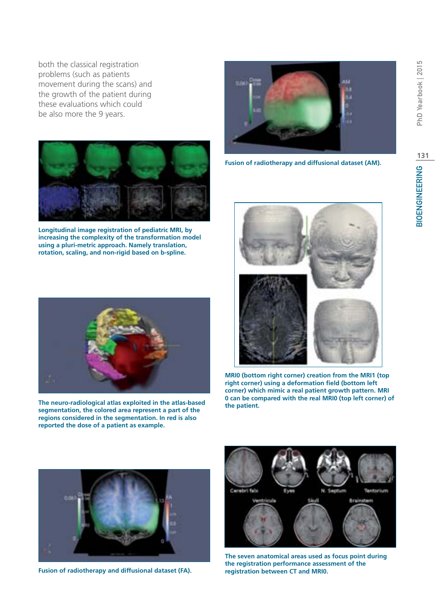both the classical registration problems (such as patients movement during the scans) and the growth of the patient during these evaluations which could be also more the 9 years.



**Longitudinal image registration of pediatric MRI, by increasing the complexity of the transformation model using a pluri-metric approach. Namely translation, rotation, scaling, and non-rigid based on b-spline.**



**The neuro-radiological atlas exploited in the atlas-based segmentation, the colored area represent a part of the regions considered in the segmentation. In red is also reported the dose of a patient as example.**



**Fusion of radiotherapy and diffusional dataset (AM).**



**MRI0 (bottom right corner) creation from the MRI1 (top**  right corner) using a deformation field (bottom left **corner) which mimic a real patient growth pattern. MRI 0 can be compared with the real MRI0 (top left corner) of the patient.**



**Fusion of radiotherapy and diffusional dataset (FA).**



**The seven anatomical areas used as focus point during the registration performance assessment of the registration between CT and MRI0.**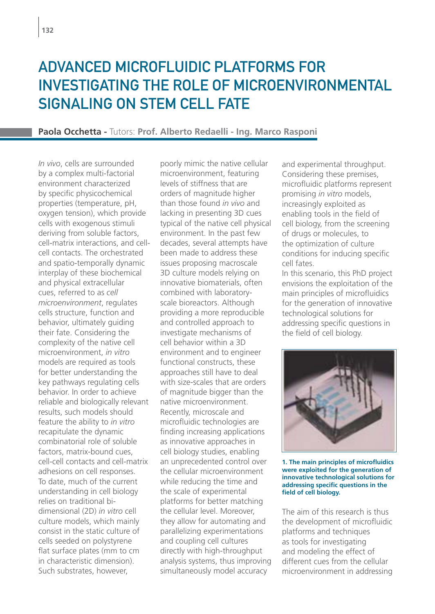# ADVANCED MICROFLUIDIC PLATFORMS FOR INVESTIGATING THE ROLE OF MICROENVIRONMENTAL SIGNALING ON STEM CELL FATE

## **Paola Occhetta -** Tutors: **Prof. Alberto Redaelli - Ing. Marco Rasponi**

*In vivo*, cells are surrounded by a complex multi-factorial environment characterized by specific physicochemical properties (temperature, pH, oxygen tension), which provide cells with exogenous stimuli deriving from soluble factors, cell-matrix interactions, and cellcell contacts. The orchestrated and spatio-temporally dynamic interplay of these biochemical and physical extracellular cues, referred to as *cell microenvironment*, regulates cells structure, function and behavior, ultimately guiding their fate. Considering the complexity of the native cell microenvironment, *in vitro* models are required as tools for better understanding the key pathways regulating cells behavior. In order to achieve reliable and biologically relevant results, such models should feature the ability to *in vitro* recapitulate the dynamic combinatorial role of soluble factors, matrix-bound cues, cell-cell contacts and cell-matrix adhesions on cell responses. To date, much of the current understanding in cell biology relies on traditional bidimensional (2D) *in vitro* cell culture models, which mainly consist in the static culture of cells seeded on polystyrene flat surface plates (mm to cm in characteristic dimension). Such substrates, however,

poorly mimic the native cellular microenvironment, featuring levels of stiffness that are orders of magnitude higher than those found *in vivo* and lacking in presenting 3D cues typical of the native cell physical environment. In the past few decades, several attempts have been made to address these issues proposing macroscale 3D culture models relying on innovative biomaterials, often combined with laboratoryscale bioreactors. Although providing a more reproducible and controlled approach to investigate mechanisms of cell behavior within a 3D environment and to engineer functional constructs, these approaches still have to deal with size-scales that are orders of magnitude bigger than the native microenvironment. Recently, microscale and microfluidic technologies are finding increasing applications as innovative approaches in cell biology studies, enabling an unprecedented control over the cellular microenvironment while reducing the time and the scale of experimental platforms for better matching the cellular level. Moreover, they allow for automating and parallelizing experimentations and coupling cell cultures directly with high-throughput analysis systems, thus improving simultaneously model accuracy

and experimental throughput. Considering these premises, microfluidic platforms represent promising *in vitro* models, increasingly exploited as enabling tools in the field of cell biology, from the screening of drugs or molecules, to the optimization of culture conditions for inducing specific cell fates.

In this scenario, this PhD project envisions the exploitation of the main principles of microfluidics for the generation of innovative technological solutions for addressing specific questions in the field of cell biology.



**1. The main principles of microfl uidics were exploited for the generation of innovative technological solutions for**  addressing specific questions in the field of cell biology.

The aim of this research is thus the development of microfluidic platforms and techniques as tools for investigating and modeling the effect of different cues from the cellular microenvironment in addressing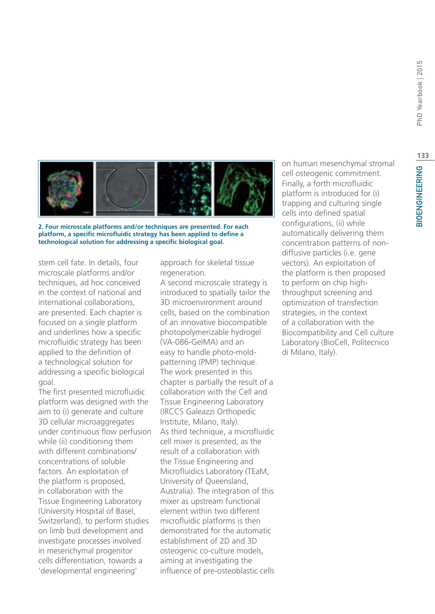**BIOENGINEERING** 



**2. Four microscale platforms and/or techniques are presented. For each**  platform, a specific microfluidic strategy has been applied to define a technological solution for addressing a specific biological goal.

stem cell fate. In details, four microscale platforms and/or techniques, ad hoc conceived in the context of national and international collaborations, are presented. Each chapter is focused on a single platform and underlines how a specific microfluidic strategy has been applied to the definition of a technological solution for addressing a specific biological goal.

The first presented microfluidic platform was designed with the aim to (i) generate and culture 3D cellular microaggregates under continuous flow perfusion while (ii) conditioning them with different combinations/ concentrations of soluble factors. An exploitation of the platform is proposed, in collaboration with the Tissue Engineering Laboratory (University Hospital of Basel, Switzerland), to perform studies on limb bud development and investigate processes involved in mesenchymal progenitor cells differentiation, towards a 'developmental engineering'

approach for skeletal tissue regeneration.

A second microscale strategy is introduced to spatially tailor the 3D microenvironment around cells, based on the combination of an innovative biocompatible photopolymerizable hydrogel (VA-086-GelMA) and an easy to handle photo-moldpatterning (PMP) technique. The work presented in this chapter is partially the result of a collaboration with the Cell and Tissue Engineering Laboratory (IRCCS Galeazzi Orthopedic Institute, Milano, Italy). As third technique, a microfluidic cell mixer is presented, as the result of a collaboration with the Tissue Engineering and Microfluidics Laboratory (TEaM, University of Queensland, Australia). The integration of this mixer as upstream functional element within two different microfluidic platforms is then demonstrated for the automatic establishment of 2D and 3D osteogenic co-culture models, aiming at investigating the influence of pre-osteoblastic cells on human mesenchymal stromal cell osteogenic commitment. Finally, a forth microfluidic platform is introduced for (i) trapping and culturing single cells into defined spatial configurations, (ii) while automatically delivering them concentration patterns of nondiffusive particles (i.e. gene vectors). An exploitation of the platform is then proposed to perform on chip highthroughput screening and optimization of transfection strategies, in the context of a collaboration with the Biocompatibility and Cell culture Laboratory (BioCell, Politecnico di Milano, Italy).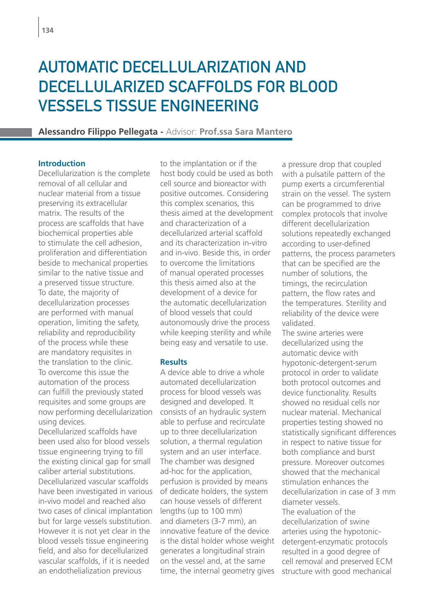# AUTOMATIC DECELLUI ARIZATION AND DECELLULARIZED SCAFFOLDS FOR BLOOD VESSELS TISSUE ENGINEERING

## **Alessandro Filippo Pellegata -** Advisor: **Prof.ssa Sara Mantero**

### **Introduction**

Decellularization is the complete removal of all cellular and nuclear material from a tissue preserving its extracellular matrix. The results of the process are scaffolds that have biochemical properties able to stimulate the cell adhesion, proliferation and differentiation beside to mechanical properties similar to the native tissue and a preserved tissue structure. To date, the majority of decellularization processes are performed with manual operation, limiting the safety, reliability and reproducibility of the process while these are mandatory requisites in the translation to the clinic. To overcome this issue the automation of the process can fulfill the previously stated requisites and some groups are now performing decellularization using devices.

Decellularized scaffolds have been used also for blood vessels tissue engineering trying to fill the existing clinical gap for small caliber arterial substitutions. Decellularized vascular scaffolds have been investigated in various in-vivo model and reached also two cases of clinical implantation but for large vessels substitution. However it is not yet clear in the blood vessels tissue engineering field, and also for decellularized vascular scaffolds, if it is needed an endothelialization previous

to the implantation or if the host body could be used as both cell source and bioreactor with positive outcomes. Considering this complex scenarios, this thesis aimed at the development and characterization of a decellularized arterial scaffold and its characterization in-vitro and in-vivo. Beside this, in order to overcome the limitations of manual operated processes this thesis aimed also at the development of a device for the automatic decellularization of blood vessels that could autonomously drive the process while keeping sterility and while being easy and versatile to use.

### **Results**

A device able to drive a whole automated decellularization process for blood vessels was designed and developed. It consists of an hydraulic system able to perfuse and recirculate up to three decellularization solution, a thermal regulation system and an user interface. The chamber was designed ad-hoc for the application, perfusion is provided by means of dedicate holders, the system can house vessels of different lengths (up to 100 mm) and diameters (3-7 mm), an innovative feature of the device is the distal holder whose weight generates a longitudinal strain on the vessel and, at the same time, the internal geometry gives

a pressure drop that coupled with a pulsatile pattern of the pump exerts a circumferential strain on the vessel. The system can be programmed to drive complex protocols that involve different decellularization solutions repeatedly exchanged according to user-defined patterns, the process parameters that can be specified are the number of solutions, the timings, the recirculation pattern, the flow rates and the temperatures. Sterility and reliability of the device were validated.

The swine arteries were decellularized using the automatic device with hypotonic-detergent-serum protocol in order to validate both protocol outcomes and device functionality. Results showed no residual cells nor nuclear material. Mechanical properties testing showed no statistically significant differences in respect to native tissue for both compliance and burst pressure. Moreover outcomes showed that the mechanical stimulation enhances the decellularization in case of 3 mm diameter vessels. The evaluation of the decellularization of swine arteries using the hypotonicdetergent-enzymatic protocols resulted in a good degree of cell removal and preserved ECM structure with good mechanical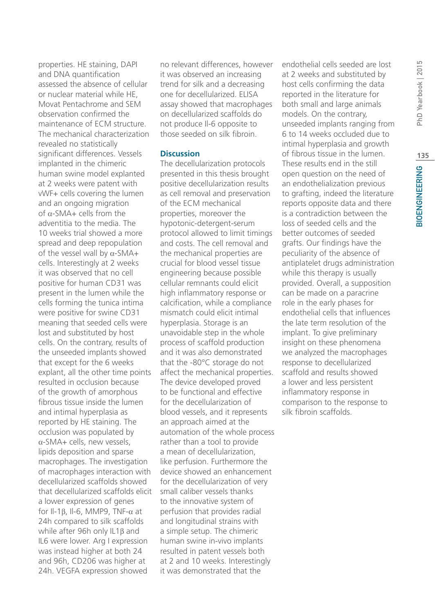properties. HE staining, DAPI and DNA quantification assessed the absence of cellular or nuclear material while HE, Movat Pentachrome and SEM observation confirmed the maintenance of ECM structure. The mechanical characterization revealed no statistically significant differences. Vessels implanted in the chimeric human swine model explanted at 2 weeks were patent with vWF+ cells covering the lumen and an ongoing migration of  $\alpha$ -SMA $+$  cells from the adventitia to the media. The 10 weeks trial showed a more spread and deep repopulation of the vessel wall by  $\alpha$ -SMA+ cells. Interestingly at 2 weeks it was observed that no cell positive for human CD31 was present in the lumen while the cells forming the tunica intima were positive for swine CD31 meaning that seeded cells were lost and substituted by host cells. On the contrary, results of the unseeded implants showed that except for the 6 weeks explant, all the other time points resulted in occlusion because of the growth of amorphous fibrous tissue inside the lumen and intimal hyperplasia as reported by HE staining. The occlusion was populated by a-SMA+ cells, new vessels, lipids deposition and sparse macrophages. The investigation of macrophages interaction with decellularized scaffolds showed that decellularized scaffolds elicit a lower expression of genes for II-1 $\beta$ , II-6, MMP9, TNF- $\alpha$  at 24h compared to silk scaffolds while after 96h only IL1 $\beta$  and IL6 were lower. Arg I expression was instead higher at both 24 and 96h, CD206 was higher at 24h. VEGFA expression showed

no relevant differences, however it was observed an increasing trend for silk and a decreasing one for decellularized. ELISA assay showed that macrophages on decellularized scaffolds do not produce Il-6 opposite to those seeded on silk fibroin.

### **Discussion**

The decellularization protocols presented in this thesis brought positive decellularization results as cell removal and preservation of the ECM mechanical properties, moreover the hypotonic-detergent-serum protocol allowed to limit timings and costs. The cell removal and the mechanical properties are crucial for blood vessel tissue engineering because possible cellular remnants could elicit high inflammatory response or calcification, while a compliance mismatch could elicit intimal hyperplasia. Storage is an unavoidable step in the whole process of scaffold production and it was also demonstrated that the -80°C storage do not affect the mechanical properties. The device developed proved to be functional and effective for the decellularization of blood vessels, and it represents an approach aimed at the automation of the whole process rather than a tool to provide a mean of decellularization, like perfusion. Furthermore the device showed an enhancement for the decellularization of very small caliber vessels thanks to the innovative system of perfusion that provides radial and longitudinal strains with a simple setup. The chimeric human swine in-vivo implants resulted in patent vessels both at 2 and 10 weeks. Interestingly it was demonstrated that the

endothelial cells seeded are lost at 2 weeks and substituted by host cells confirming the data reported in the literature for both small and large animals models. On the contrary, unseeded implants ranging from 6 to 14 weeks occluded due to intimal hyperplasia and growth of fibrous tissue in the lumen. These results end in the still open question on the need of an endothelialization previous to grafting, indeed the literature reports opposite data and there is a contradiction between the loss of seeded cells and the better outcomes of seeded grafts. Our findings have the peculiarity of the absence of antiplatelet drugs administration while this therapy is usually provided. Overall, a supposition can be made on a paracrine role in the early phases for endothelial cells that influences the late term resolution of the implant. To give preliminary insight on these phenomena we analyzed the macrophages response to decellularized scaffold and results showed a lower and less persistent inflammatory response in comparison to the response to silk fibroin scaffolds.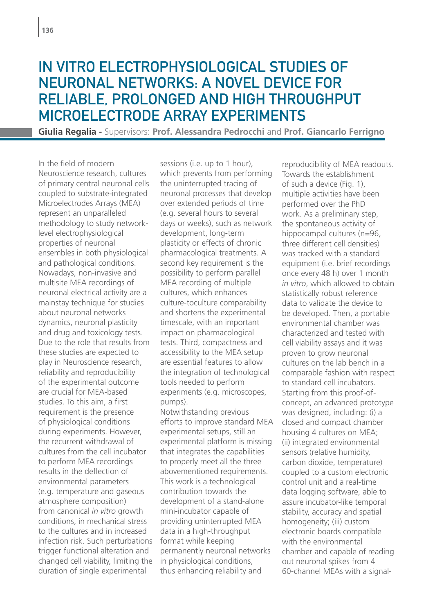## IN VITRO ELECTROPHYSIOLOGICAL STUDIES OF NEURONAL NETWORKS: A NOVEL DEVICE FOR RELIABLE, PROLONGED AND HIGH THROUGHPUT MICROELECTRODE ARRAY EXPERIMENTS

**Giulia Regalia -** Supervisors: **Prof. Alessandra Pedrocchi** and **Prof. Giancarlo Ferrigno**

In the field of modern Neuroscience research, cultures of primary central neuronal cells coupled to substrate-integrated Microelectrodes Arrays (MEA) represent an unparalleled methodology to study networklevel electrophysiological properties of neuronal ensembles in both physiological and pathological conditions. Nowadays, non-invasive and multisite MEA recordings of neuronal electrical activity are a mainstay technique for studies about neuronal networks dynamics, neuronal plasticity and drug and toxicology tests. Due to the role that results from these studies are expected to play in Neuroscience research, reliability and reproducibility of the experimental outcome are crucial for MEA-based studies. To this aim, a first requirement is the presence of physiological conditions during experiments. However, the recurrent withdrawal of cultures from the cell incubator to perform MEA recordings results in the deflection of environmental parameters (e.g. temperature and gaseous atmosphere composition) from canonical *in vitro* growth conditions, in mechanical stress to the cultures and in increased infection risk. Such perturbations trigger functional alteration and changed cell viability, limiting the duration of single experimental

sessions (i.e. up to 1 hour), which prevents from performing the uninterrupted tracing of neuronal processes that develop over extended periods of time (e.g. several hours to several days or weeks), such as network development, long-term plasticity or effects of chronic pharmacological treatments. A second key requirement is the possibility to perform parallel MEA recording of multiple cultures, which enhances culture-toculture comparability and shortens the experimental timescale, with an important impact on pharmacological tests. Third, compactness and accessibility to the MEA setup are essential features to allow the integration of technological tools needed to perform experiments (e.g. microscopes, pumps).

Notwithstanding previous efforts to improve standard MEA experimental setups, still an experimental platform is missing that integrates the capabilities to properly meet all the three abovementioned requirements. This work is a technological contribution towards the development of a stand-alone mini-incubator capable of providing uninterrupted MEA data in a high-throughput format while keeping permanently neuronal networks in physiological conditions, thus enhancing reliability and

reproducibility of MEA readouts. Towards the establishment of such a device (Fig. 1), multiple activities have been performed over the PhD work. As a preliminary step, the spontaneous activity of hippocampal cultures (n=96, three different cell densities) was tracked with a standard equipment (i.e. brief recordings once every 48 h) over 1 month *in vitro*, which allowed to obtain statistically robust reference data to validate the device to be developed. Then, a portable environmental chamber was characterized and tested with cell viability assays and it was proven to grow neuronal cultures on the lab bench in a comparable fashion with respect to standard cell incubators. Starting from this proof-ofconcept, an advanced prototype was designed, including: (i) a closed and compact chamber housing 4 cultures on MEA; (ii) integrated environmental sensors (relative humidity, carbon dioxide, temperature) coupled to a custom electronic control unit and a real-time data logging software, able to assure incubator-like temporal stability, accuracy and spatial homogeneity; (iii) custom electronic boards compatible with the environmental chamber and capable of reading out neuronal spikes from 4 60-channel MEAs with a signal-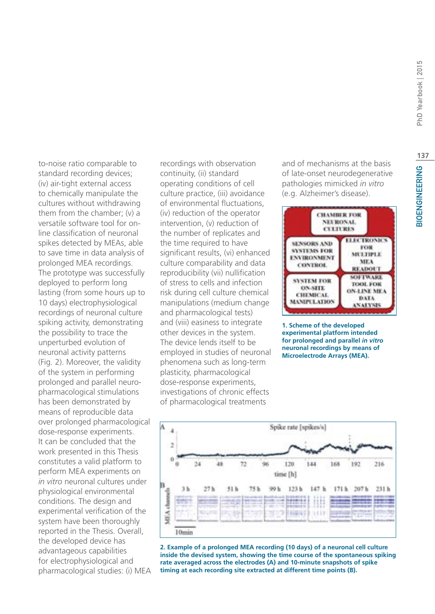**137BIOENGINEERING** 

to-noise ratio comparable to standard recording devices; (iv) air-tight external access to chemically manipulate the cultures without withdrawing them from the chamber; (v) a versatile software tool for online classification of neuronal spikes detected by MEAs, able to save time in data analysis of prolonged MEA recordings. The prototype was successfully deployed to perform long lasting (from some hours up to 10 days) electrophysiological recordings of neuronal culture spiking activity, demonstrating the possibility to trace the unperturbed evolution of neuronal activity patterns (Fig. 2). Moreover, the validity of the system in performing prolonged and parallel neuropharmacological stimulations has been demonstrated by means of reproducible data over prolonged pharmacological dose-response experiments. It can be concluded that the work presented in this Thesis constitutes a valid platform to perform MEA experiments on *in vitro* neuronal cultures under physiological environmental conditions. The design and experimental verification of the system have been thoroughly reported in the Thesis. Overall, the developed device has advantageous capabilities for electrophysiological and pharmacological studies: (i) MEA recordings with observation continuity, (ii) standard operating conditions of cell culture practice, (iii) avoidance of environmental fluctuations, (iv) reduction of the operator intervention, (v) reduction of the number of replicates and the time required to have significant results, (vi) enhanced culture comparability and data reproducibility (vii) nullification of stress to cells and infection risk during cell culture chemical manipulations (medium change and pharmacological tests) and (viii) easiness to integrate other devices in the system. The device lends itself to be employed in studies of neuronal phenomena such as long-term plasticity, pharmacological dose-response experiments, investigations of chronic effects of pharmacological treatments

and of mechanisms at the basis of late-onset neurodegenerative pathologies mimicked *in vitro*  (e.g. Alzheimer's disease).



**1. Scheme of the developed experimental platform intended for prolonged and parallel** *in vitro*  **neuronal recordings by means of Microelectrode Arrays (MEA).** 



**2. Example of a prolonged MEA recording (10 days) of a neuronal cell culture inside the devised system, showing the time course of the spontaneous spiking rate averaged across the electrodes (A) and 10-minute snapshots of spike timing at each recording site extracted at different time points (B).**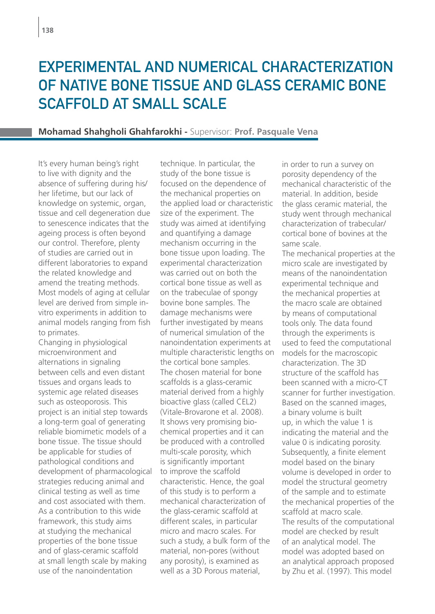# EXPERIMENTAL AND NUMERICAL CHARACTERIZATION OF NATIVE BONE TISSUE AND GLASS CERAMIC BONE SCAFFOLD AT SMALL SCALE

## **Mohamad Shahgholi Ghahfarokhi -** Supervisor: **Prof. Pasquale Vena**

It's every human being's right to live with dignity and the absence of suffering during his/ her lifetime, but our lack of knowledge on systemic, organ, tissue and cell degeneration due to senescence indicates that the ageing process is often beyond our control. Therefore, plenty of studies are carried out in different laboratories to expand the related knowledge and amend the treating methods. Most models of aging at cellular level are derived from simple invitro experiments in addition to animal models ranging from fish to primates.

Changing in physiological microenvironment and alternations in signaling between cells and even distant tissues and organs leads to systemic age related diseases such as osteoporosis. This project is an initial step towards a long-term goal of generating reliable biomimetic models of a bone tissue. The tissue should be applicable for studies of pathological conditions and development of pharmacological strategies reducing animal and clinical testing as well as time and cost associated with them. As a contribution to this wide framework, this study aims at studying the mechanical properties of the bone tissue and of glass-ceramic scaffold at small length scale by making use of the nanoindentation

technique. In particular, the study of the bone tissue is focused on the dependence of the mechanical properties on the applied load or characteristic size of the experiment. The study was aimed at identifying and quantifying a damage mechanism occurring in the bone tissue upon loading. The experimental characterization was carried out on both the cortical bone tissue as well as on the trabeculae of spongy bovine bone samples. The damage mechanisms were further investigated by means of numerical simulation of the nanoindentation experiments at multiple characteristic lengths on the cortical bone samples. The chosen material for bone scaffolds is a glass-ceramic material derived from a highly bioactive glass (called CEL2) (Vitale-Brovarone et al. 2008). It shows very promising biochemical properties and it can be produced with a controlled multi-scale porosity, which is significantly important to improve the scaffold characteristic. Hence, the goal of this study is to perform a mechanical characterization of the glass-ceramic scaffold at different scales, in particular micro and macro scales. For such a study, a bulk form of the material, non-pores (without any porosity), is examined as well as a 3D Porous material,

in order to run a survey on porosity dependency of the mechanical characteristic of the material. In addition, beside the glass ceramic material, the study went through mechanical characterization of trabecular/ cortical bone of bovines at the same scale.

The mechanical properties at the micro scale are investigated by means of the nanoindentation experimental technique and the mechanical properties at the macro scale are obtained by means of computational tools only. The data found through the experiments is used to feed the computational models for the macroscopic characterization. The 3D structure of the scaffold has been scanned with a micro-CT scanner for further investigation. Based on the scanned images, a binary volume is built up, in which the value 1 is indicating the material and the value 0 is indicating porosity. Subsequently, a finite element model based on the binary volume is developed in order to model the structural geometry of the sample and to estimate the mechanical properties of the scaffold at macro scale. The results of the computational model are checked by result of an analytical model. The model was adopted based on an analytical approach proposed by Zhu et al. (1997). This model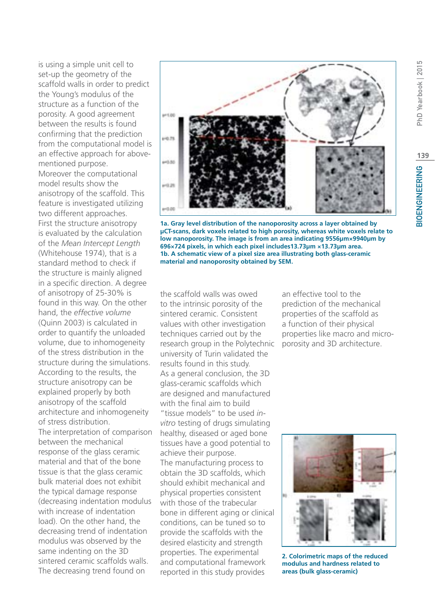is using a simple unit cell to set-up the geometry of the scaffold walls in order to predict the Young's modulus of the structure as a function of the porosity. A good agreement between the results is found confirming that the prediction from the computational model is an effective approach for abovementioned purpose. Moreover the computational model results show the anisotropy of the scaffold. This feature is investigated utilizing two different approaches. First the structure anisotropy is evaluated by the calculation of the *Mean Intercept Length*  (Whitehouse 1974), that is a standard method to check if the structure is mainly aligned in a specific direction. A degree of anisotropy of 25-30% is found in this way. On the other hand, the *effective volume*  (Quinn 2003) is calculated in order to quantify the unloaded volume, due to inhomogeneity of the stress distribution in the structure during the simulations. According to the results, the structure anisotropy can be explained properly by both anisotropy of the scaffold architecture and inhomogeneity of stress distribution. The interpretation of comparison between the mechanical response of the glass ceramic material and that of the bone tissue is that the glass ceramic bulk material does not exhibit the typical damage response (decreasing indentation modulus with increase of indentation load). On the other hand, the decreasing trend of indentation modulus was observed by the same indenting on the 3D sintered ceramic scaffolds walls.

The decreasing trend found on



**1a. Gray level distribution of the nanoporosity across a layer obtained by μCT-scans, dark voxels related to high porosity, whereas white voxels relate to low nanoporosity. The image is from an area indicating 9556μm×9940μm by 696×724 pixels, in which each pixel includes13.73μm ×13.73μm area. 1b. A schematic view of a pixel size area illustrating both glass-ceramic material and nanoporosity obtained by SEM.**

the scaffold walls was owed to the intrinsic porosity of the sintered ceramic. Consistent values with other investigation techniques carried out by the research group in the Polytechnic university of Turin validated the results found in this study. As a general conclusion, the 3D glass-ceramic scaffolds which are designed and manufactured with the final aim to build "tissue models" to be used *invitro* testing of drugs simulating healthy, diseased or aged bone tissues have a good potential to achieve their purpose. The manufacturing process to obtain the 3D scaffolds, which should exhibit mechanical and physical properties consistent with those of the trabecular bone in different aging or clinical conditions, can be tuned so to provide the scaffolds with the desired elasticity and strength properties. The experimental and computational framework reported in this study provides

an effective tool to the prediction of the mechanical properties of the scaffold as a function of their physical properties like macro and microporosity and 3D architecture.



**2. Colorimetric maps of the reduced modulus and hardness related to areas (bulk glass-ceramic)**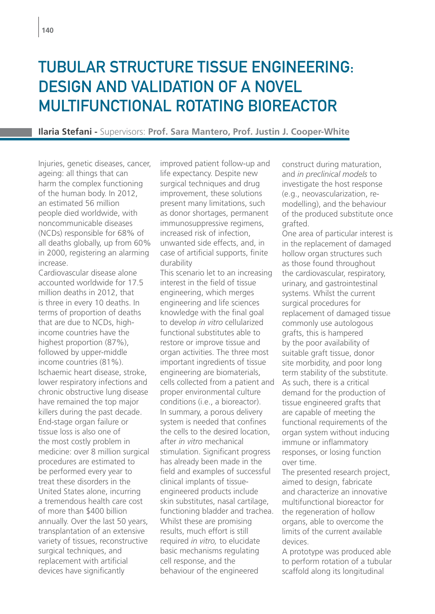# TUBULAR STRUCTURE TISSUE ENGINEERING. DESIGN AND VALIDATION OF A NOVEL MULTIFUNCTIONAL ROTATING BIOREACTOR

**Ilaria Stefani -** Supervisors: **Prof. Sara Mantero, Prof. Justin J. Cooper-White**

Injuries, genetic diseases, cancer, ageing: all things that can harm the complex functioning of the human body. In 2012, an estimated 56 million people died worldwide, with noncommunicable diseases (NCDs) responsible for 68% of all deaths globally, up from 60% in 2000, registering an alarming increase.

Cardiovascular disease alone accounted worldwide for 17.5 million deaths in 2012, that is three in every 10 deaths. In terms of proportion of deaths that are due to NCDs, highincome countries have the highest proportion (87%), followed by upper-middle income countries (81%). Ischaemic heart disease, stroke, lower respiratory infections and chronic obstructive lung disease have remained the top major killers during the past decade. End-stage organ failure or tissue loss is also one of the most costly problem in medicine: over 8 million surgical procedures are estimated to be performed every year to treat these disorders in the United States alone, incurring a tremendous health care cost of more than \$400 billion annually. Over the last 50 years, transplantation of an extensive variety of tissues, reconstructive surgical techniques, and replacement with artificial devices have significantly

improved patient follow-up and life expectancy. Despite new surgical techniques and drug improvement, these solutions present many limitations, such as donor shortages, permanent immunosuppressive regimens, increased risk of infection, unwanted side effects, and, in case of artificial supports, finite durability

This scenario let to an increasing interest in the field of tissue engineering, which merges engineering and life sciences knowledge with the final goal to develop *in vitro* cellularized functional substitutes able to restore or improve tissue and organ activities. The three most important ingredients of tissue engineering are biomaterials, cells collected from a patient and proper environmental culture conditions (i.e., a bioreactor). In summary, a porous delivery system is needed that confines the cells to the desired location, after *in vitro* mechanical stimulation. Significant progress has already been made in the field and examples of successful clinical implants of tissueengineered products include skin substitutes, nasal cartilage, functioning bladder and trachea. Whilst these are promising results, much effort is still required *in vitro,* to elucidate basic mechanisms regulating cell response, and the behaviour of the engineered

construct during maturation, and *in preclinical models* to investigate the host response (e.g., neovascularization, remodelling), and the behaviour of the produced substitute once grafted.

One area of particular interest is in the replacement of damaged hollow organ structures such as those found throughout the cardiovascular, respiratory, urinary, and gastrointestinal systems. Whilst the current surgical procedures for replacement of damaged tissue commonly use autologous grafts, this is hampered by the poor availability of suitable graft tissue, donor site morbidity, and poor long term stability of the substitute. As such, there is a critical demand for the production of tissue engineered grafts that are capable of meeting the functional requirements of the organ system without inducing immune or inflammatory responses, or losing function over time.

The presented research project, aimed to design, fabricate and characterize an innovative multifunctional bioreactor for the regeneration of hollow organs, able to overcome the limits of the current available devices.

A prototype was produced able to perform rotation of a tubular scaffold along its longitudinal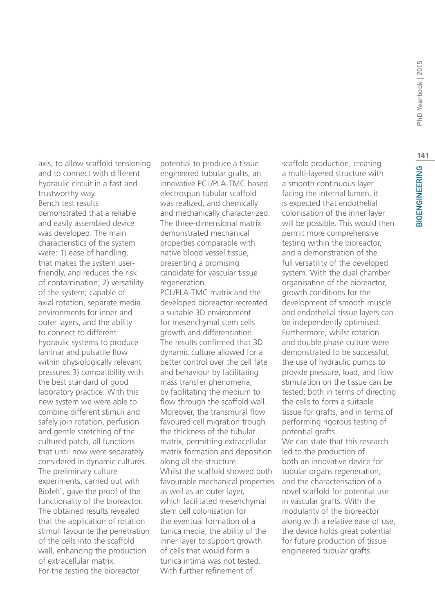axis, to allow scaffold tensioning and to connect with different hydraulic circuit in a fast and trustworthy way. Bench test results demonstrated that a reliable and easily assembled device was developed. The main characteristics of the system were: 1) ease of handling, that makes the system userfriendly, and reduces the risk of contamination; 2) versatility of the system; capable of axial rotation, separate media environments for inner and outer layers, and the ability to connect to different hydraulic systems to produce laminar and pulsatile flow within physiologically relevant pressures.3) compatibility with the best standard of good laboratory practice. With this new system we were able to combine different stimuli and safely join rotation, perfusion and gentle stretching of the cultured patch, all functions that until now were separately considered in dynamic cultures. The preliminary culture experiments, carried out with Biofelt¨, gave the proof of the functionality of the bioreactor. The obtained results revealed that the application of rotation stimuli favourite the penetration of the cells into the scaffold wall, enhancing the production of extracellular matrix. For the testing the bioreactor

potential to produce a tissue engineered tubular grafts, an innovative PCL/PLA-TMC based electrospun tubular scaffold was realized, and chemically and mechanically characterized. The three-dimensional matrix demonstrated mechanical properties comparable with native blood vessel tissue, presenting a promising candidate for vascular tissue regeneration.

PCL/PLA-TMC matrix and the developed bioreactor recreated a suitable 3D environment for mesenchymal stem cells growth and differentiation. The results confirmed that 3D dynamic culture allowed for a better control over the cell fate and behaviour by facilitating mass transfer phenomena, by facilitating the medium to flow through the scaffold wall. Moreover, the transmural flow favoured cell migration trough the thickness of the tubular matrix, permitting extracellular matrix formation and deposition along all the structure. Whilst the scaffold showed both favourable mechanical properties as well as an outer layer, which facilitated mesenchymal stem cell colonisation for the eventual formation of a tunica media, the ability of the inner layer to support growth of cells that would form a tunica intima was not tested. With further refinement of

scaffold production, creating a multi-layered structure with a smooth continuous layer facing the internal lumen, it is expected that endothelial colonisation of the inner layer will be possible. This would then permit more comprehensive testing within the bioreactor, and a demonstration of the full versatility of the developed system. With the dual chamber organisation of the bioreactor, growth conditions for the development of smooth muscle and endothelial tissue layers can be independently optimised. Furthermore, whilst rotation and double phase culture were demonstrated to be successful, the use of hydraulic pumps to provide pressure, load, and flow stimulation on the tissue can be tested; both in terms of directing the cells to form a suitable tissue for grafts, and in terms of performing rigorous testing of potential grafts. We can state that this research led to the production of both an innovative device for tubular organs regeneration, and the characterisation of a novel scaffold for potential use in vascular grafts. With the modularity of the bioreactor along with a relative ease of use, the device holds great potential for future production of tissue engineered tubular grafts.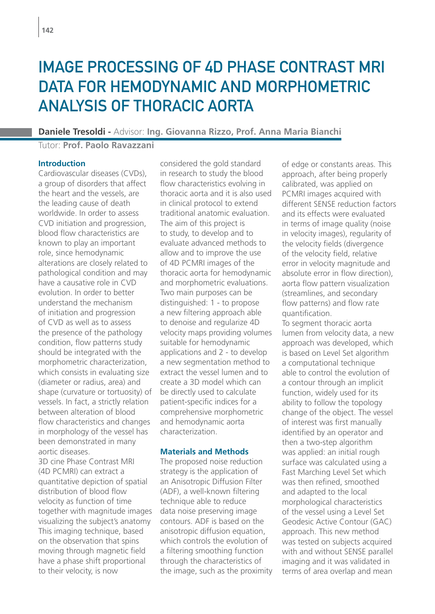# IMAGE PROCESSING OF 4D PHASE CONTRAST MRI DATA FOR HEMODYNAMIC AND MORPHOMETRIC ANALYSIS OF THORACIC AORTA

### **Daniele Tresoldi -** Advisor: **Ing. Giovanna Rizzo, Prof. Anna Maria Bianchi**

Tutor: **Prof. Paolo Ravazzani**

### **Introduction**

Cardiovascular diseases (CVDs), a group of disorders that affect the heart and the vessels, are the leading cause of death worldwide. In order to assess CVD initiation and progression, blood flow characteristics are known to play an important role, since hemodynamic alterations are closely related to pathological condition and may have a causative role in CVD evolution. In order to better understand the mechanism of initiation and progression of CVD as well as to assess the presence of the pathology condition, flow patterns study should be integrated with the morphometric characterization, which consists in evaluating size (diameter or radius, area) and shape (curvature or tortuosity) of vessels. In fact, a strictly relation between alteration of blood flow characteristics and changes in morphology of the vessel has been demonstrated in many aortic diseases.

3D cine Phase Contrast MRI (4D PCMRI) can extract a quantitative depiction of spatial distribution of blood flow velocity as function of time together with magnitude images visualizing the subject's anatomy This imaging technique, based on the observation that spins moving through magnetic field have a phase shift proportional to their velocity, is now

considered the gold standard in research to study the blood flow characteristics evolving in thoracic aorta and it is also used in clinical protocol to extend traditional anatomic evaluation. The aim of this project is to study, to develop and to evaluate advanced methods to allow and to improve the use of 4D PCMRI images of the thoracic aorta for hemodynamic and morphometric evaluations. Two main purposes can be distinguished: 1 - to propose a new filtering approach able to denoise and regularize 4D velocity maps providing volumes suitable for hemodynamic applications and 2 - to develop a new segmentation method to extract the vessel lumen and to create a 3D model which can be directly used to calculate patient-specific indices for a comprehensive morphometric and hemodynamic aorta characterization.

### **Materials and Methods**

The proposed noise reduction strategy is the application of an Anisotropic Diffusion Filter (ADF), a well-known filtering technique able to reduce data noise preserving image contours. ADF is based on the anisotropic diffusion equation, which controls the evolution of a filtering smoothing function through the characteristics of the image, such as the proximity of edge or constants areas. This approach, after being properly calibrated, was applied on PCMRI images acquired with different SENSE reduction factors and its effects were evaluated in terms of image quality (noise in velocity images), regularity of the velocity fields (divergence of the velocity field, relative error in velocity magnitude and absolute error in flow direction). aorta flow pattern visualization (streamlines, and secondary flow patterns) and flow rate quantification.

To segment thoracic aorta lumen from velocity data, a new approach was developed, which is based on Level Set algorithm a computational technique able to control the evolution of a contour through an implicit function, widely used for its ability to follow the topology change of the object. The vessel of interest was first manually identified by an operator and then a two-step algorithm was applied: an initial rough surface was calculated using a Fast Marching Level Set which was then refined, smoothed and adapted to the local morphological characteristics of the vessel using a Level Set Geodesic Active Contour (GAC) approach. This new method was tested on subjects acquired with and without SENSE parallel imaging and it was validated in terms of area overlap and mean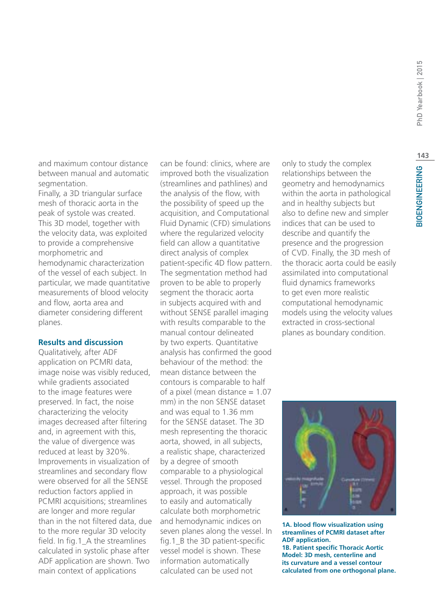**1433IOENGINEERING** 

and maximum contour distance between manual and automatic segmentation.

Finally, a 3D triangular surface mesh of thoracic aorta in the peak of systole was created. This 3D model, together with the velocity data, was exploited to provide a comprehensive morphometric and hemodynamic characterization of the vessel of each subject. In particular, we made quantitative measurements of blood velocity and flow, aorta area and diameter considering different planes.

#### **Results and discussion**

Qualitatively, after ADF application on PCMRI data, image noise was visibly reduced, while gradients associated to the image features were preserved. In fact, the noise characterizing the velocity images decreased after filtering and, in agreement with this, the value of divergence was reduced at least by 320%. Improvements in visualization of streamlines and secondary flow were observed for all the SENSE reduction factors applied in PCMRI acquisitions; streamlines are longer and more regular than in the not filtered data, due to the more regular 3D velocity field. In fig.1 A the streamlines calculated in systolic phase after ADF application are shown. Two main context of applications

can be found: clinics, where are improved both the visualization (streamlines and pathlines) and the analysis of the flow, with the possibility of speed up the acquisition, and Computational Fluid Dynamic (CFD) simulations where the regularized velocity field can allow a quantitative direct analysis of complex patient-specific 4D flow pattern. The segmentation method had proven to be able to properly segment the thoracic aorta in subjects acquired with and without SENSE parallel imaging with results comparable to the manual contour delineated by two experts. Quantitative analysis has confirmed the good behaviour of the method: the mean distance between the contours is comparable to half of a pixel (mean distance = 1.07 mm) in the non SENSE dataset and was equal to 1.36 mm for the SENSE dataset. The 3D mesh representing the thoracic aorta, showed, in all subjects, a realistic shape, characterized by a degree of smooth comparable to a physiological vessel. Through the proposed approach, it was possible to easily and automatically calculate both morphometric and hemodynamic indices on seven planes along the vessel. In fig.1\_B the 3D patient-specific vessel model is shown. These information automatically calculated can be used not

only to study the complex relationships between the geometry and hemodynamics within the aorta in pathological and in healthy subjects but also to define new and simpler indices that can be used to describe and quantify the presence and the progression of CVD. Finally, the 3D mesh of the thoracic aorta could be easily assimilated into computational fluid dynamics frameworks to get even more realistic computational hemodynamic models using the velocity values extracted in cross-sectional planes as boundary condition.



**1A. blood flow visualization using streamlines of PCMRI dataset after ADF application. 1B. Patient specific Thoracic Aortic Model: 3D mesh, centerline and its curvature and a vessel contour calculated from one orthogonal plane.**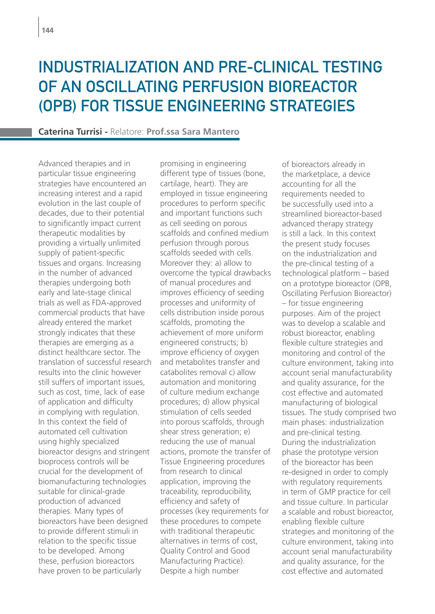# INDUSTRIALIZATION AND PRE-CLINICAL TESTING OF AN OSCILLATING PERFUSION BIOREACTOR (OPB) FOR TISSUE ENGINEERING STRATEGIES

## **Caterina Turrisi -** Relatore: **Prof.ssa Sara Mantero**

Advanced therapies and in particular tissue engineering strategies have encountered an increasing interest and a rapid evolution in the last couple of decades, due to their potential to significantly impact current therapeutic modalities by providing a virtually unlimited supply of patient-specific tissues and organs. Increasing in the number of advanced therapies undergoing both early and late-stage clinical trials as well as FDA-approved commercial products that have already entered the market strongly indicates that these therapies are emerging as a distinct healthcare sector. The translation of successful research results into the clinic however still suffers of important issues, such as cost, time, lack of ease of application and difficulty in complying with regulation. In this context the field of automated cell cultivation using highly specialized bioreactor designs and stringent bioprocess controls will be crucial for the development of biomanufacturing technologies suitable for clinical-grade production of advanced therapies. Many types of bioreactors have been designed to provide different stimuli in relation to the specific tissue to be developed. Among these, perfusion bioreactors have proven to be particularly

promising in engineering different type of tissues (bone, cartilage, heart). They are employed in tissue engineering procedures to perform specific and important functions such as cell seeding on porous scaffolds and confined medium perfusion through porous scaffolds seeded with cells. Moreover they: a) allow to overcome the typical drawbacks of manual procedures and improves efficiency of seeding processes and uniformity of cells distribution inside porous scaffolds, promoting the achievement of more uniform engineered constructs; b) improve efficiency of oxygen and metabolites transfer and catabolites removal c) allow automation and monitoring of culture medium exchange procedures; d) allow physical stimulation of cells seeded into porous scaffolds, through shear stress generation; e) reducing the use of manual actions, promote the transfer of Tissue Engineering procedures from research to clinical application, improving the traceability, reproducibility, efficiency and safety of processes (key requirements for these procedures to compete with traditional therapeutic alternatives in terms of cost, Quality Control and Good Manufacturing Practice). Despite a high number

of bioreactors already in the marketplace, a device accounting for all the requirements needed to be successfully used into a streamlined bioreactor-based advanced therapy strategy is still a lack. In this context the present study focuses on the industrialization and the pre-clinical testing of a technological platform – based on a prototype bioreactor (OPB, Oscillating Perfusion Bioreactor) – for tissue engineering purposes. Aim of the project was to develop a scalable and robust bioreactor, enabling flexible culture strategies and monitoring and control of the culture environment, taking into account serial manufacturability and quality assurance, for the cost effective and automated manufacturing of biological tissues. The study comprised two main phases: industrialization and pre-clinical testing. During the industrialization phase the prototype version of the bioreactor has been re-designed in order to comply with regulatory requirements in term of GMP practice for cell and tissue culture. In particular a scalable and robust bioreactor, enabling flexible culture strategies and monitoring of the culture environment, taking into account serial manufacturability and quality assurance, for the cost effective and automated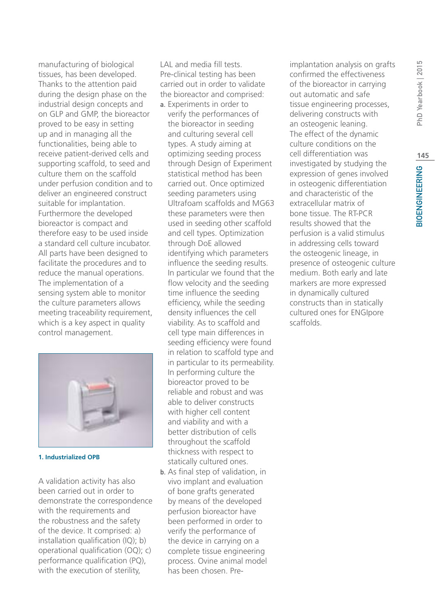manufacturing of biological tissues, has been developed. Thanks to the attention paid during the design phase on the industrial design concepts and on GLP and GMP, the bioreactor proved to be easy in setting up and in managing all the functionalities, being able to receive patient-derived cells and supporting scaffold, to seed and culture them on the scaffold under perfusion condition and to deliver an engineered construct suitable for implantation. Furthermore the developed bioreactor is compact and therefore easy to be used inside a standard cell culture incubator. All parts have been designed to facilitate the procedures and to reduce the manual operations. The implementation of a sensing system able to monitor the culture parameters allows meeting traceability requirement, which is a key aspect in quality control management.



**1. Industrialized OPB**

A validation activity has also been carried out in order to demonstrate the correspondence with the requirements and the robustness and the safety of the device. It comprised: a)  $intallation$  qualification  $(IO): b)$ operational qualification  $(OQ)$ ; c) performance qualification (PO). with the execution of sterility,

LAL and media fill tests. Pre-clinical testing has been carried out in order to validate the bioreactor and comprised:

- a. Experiments in order to verify the performances of the bioreactor in seeding and culturing several cell types. A study aiming at optimizing seeding process through Design of Experiment statistical method has been carried out. Once optimized seeding parameters using Ultrafoam scaffolds and MG63 these parameters were then used in seeding other scaffold and cell types. Optimization through DoE allowed identifying which parameters influence the seeding results. In particular we found that the flow velocity and the seeding time influence the seeding efficiency, while the seeding density influences the cell viability. As to scaffold and cell type main differences in seeding efficiency were found in relation to scaffold type and in particular to its permeability. In performing culture the bioreactor proved to be reliable and robust and was able to deliver constructs with higher cell content and viability and with a better distribution of cells throughout the scaffold thickness with respect to statically cultured ones.
- b. As final step of validation, in vivo implant and evaluation of bone grafts generated by means of the developed perfusion bioreactor have been performed in order to verify the performance of the device in carrying on a complete tissue engineering process. Ovine animal model has been chosen. Pre-

implantation analysis on grafts confirmed the effectiveness of the bioreactor in carrying out automatic and safe tissue engineering processes, delivering constructs with an osteogenic leaning. The effect of the dynamic culture conditions on the cell differentiation was investigated by studying the expression of genes involved in osteogenic differentiation and characteristic of the extracellular matrix of bone tissue. The RT-PCR results showed that the perfusion is a valid stimulus in addressing cells toward the osteogenic lineage, in presence of osteogenic culture medium. Both early and late markers are more expressed in dynamically cultured constructs than in statically cultured ones for ENGIpore scaffolds.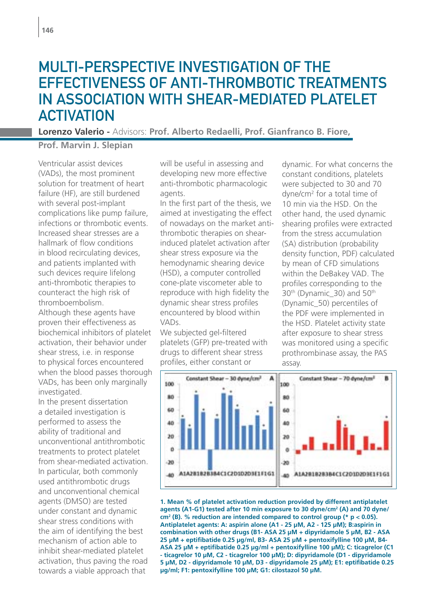## MULTI-PERSPECTIVE INVESTIGATION OF THE EFFECTIVENESS OF ANTI-THROMBOTIC TREATMENTS IN ASSOCIATION WITH SHEAR-MEDIATED PLATELET **ACTIVATION**

**Lorenzo Valerio -** Advisors: **Prof. Alberto Redaelli, Prof. Gianfranco B. Fiore,** 

**Prof. Marvin J. Slepian**

Ventricular assist devices (VADs), the most prominent solution for treatment of heart failure (HF), are still burdened with several post-implant complications like pump failure, infections or thrombotic events. Increased shear stresses are a hallmark of flow conditions in blood recirculating devices, and patients implanted with such devices require lifelong anti-thrombotic therapies to counteract the high risk of thromboembolism. Although these agents have proven their effectiveness as biochemical inhibitors of platelet activation, their behavior under shear stress, i.e. in response to physical forces encountered

when the blood passes thorough VADs, has been only marginally investigated.

In the present dissertation a detailed investigation is performed to assess the ability of traditional and unconventional antithrombotic treatments to protect platelet from shear-mediated activation. In particular, both commonly used antithrombotic drugs and unconventional chemical agents (DMSO) are tested under constant and dynamic shear stress conditions with the aim of identifying the best mechanism of action able to inhibit shear-mediated platelet activation, thus paving the road towards a viable approach that

will be useful in assessing and developing new more effective anti-thrombotic pharmacologic agents.

In the first part of the thesis, we aimed at investigating the effect of nowadays on the market antithrombotic therapies on shearinduced platelet activation after shear stress exposure via the hemodynamic shearing device (HSD), a computer controlled cone-plate viscometer able to reproduce with high fidelity the dynamic shear stress profiles encountered by blood within VADs.

We subjected gel-filtered platelets (GFP) pre-treated with drugs to different shear stress profiles, either constant or

dynamic. For what concerns the constant conditions, platelets were subjected to 30 and 70 dyne/cm2 for a total time of 10 min via the HSD. On the other hand, the used dynamic shearing profiles were extracted from the stress accumulation (SA) distribution (probability density function, PDF) calculated by mean of CFD simulations within the DeBakey VAD. The profiles corresponding to the 30<sup>th</sup> (Dynamic\_30) and 50<sup>th</sup> (Dynamic\_50) percentiles of the PDF were implemented in the HSD. Platelet activity state after exposure to shear stress was monitored using a specific prothrombinase assay, the PAS assay.



**1. Mean % of platelet activation reduction provided by different antiplatelet agents (A1-G1) tested after 10 min exposure to 30 dyne/cm2 (A) and 70 dyne/ cm2 (B). % reduction are intended compared to control group (\* p < 0.05). Antiplatelet agents: A: aspirin alone (A1 - 25 µM, A2 - 125 µM); B:aspirin in combination with other drugs (B1- ASA 25 µM + dipyridamole 5 µM, B2 - ASA 25 µM + eptifi batide 0.25 µg/ml, B3- ASA 25 µM + pentoxifylline 100 µM, B4-**  ASA 25 µM + eptifibatide 0.25 µg/ml + pentoxifylline 100 µM); C: ticagrelor (C1 **- ticagrelor 10 µM, C2 - ticagrelor 100 µM); D: dipyridamole (D1 - dipyridamole 5 µM, D2 - dipyridamole 10 µM, D3 - dipyridamole 25 µM); E1: eptifi batide 0.25 µg/ml; F1: pentoxifylline 100 µM; G1: cilostazol 50 µM.**